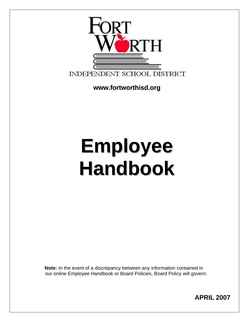

**[www.fortworthisd.org](http://www.fortworthisd.org/) ww.fortworthisd.org**

# **Employee Handbook**

 **Note:** In the event of a discrepancy between any information contained in our online Employee Handbook or Board Policies, Board Policy will govern.

**APRIL 2007**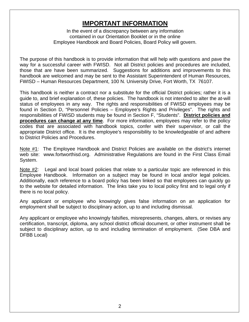## **IMPORTANT INFORMATION**

<span id="page-1-0"></span>In the event of a discrepancy between any information contained in our Orientation Booklet or in the online Employee Handbook and Board Policies, Board Policy will govern.

The purpose of this handbook is to provide information that will help with questions and pave the way for a successful career with FWISD. Not all District policies and procedures are included, those that are have been summarized. Suggestions for additions and improvements to this handbook are welcomed and may be sent to the Assistant Superintendent of Human Resources, FWISD – Human Resources Department, 100 N. University Drive, Fort Worth, TX 76107.

This handbook is neither a contract nor a substitute for the official District policies; rather it is a guide to, and brief explanation of, these policies. The handbook is not intended to alter the at-will status of employees in any way. The rights and responsibilities of FWISD employees may be found in Section D, "Personnel Policies – Employee's Rights and Privileges". The rights and responsibilities of FWISD students may be found in Section F, "Students". **District policies and procedures can change at any time**. For more information, employees may refer to the policy codes that are associated with handbook topics, confer with their supervisor, or call the appropriate District office. It is the employee's responsibility to be knowledgeable of and adhere to District Policies and Procedures.

Note #1: The Employee Handbook and District Policies are available on the district's internet web site: [www.fortworthisd.org](http://www.fortworthisd.org/). Administrative Regulations are found in the First Class Email System.

Note  $#2$ : Legal and local board policies that relate to a particular topic are referenced in this Employee Handbook. Information on a subject may be found in local and/or legal policies. Additionally, each reference to a board policy has been linked so that employees can quickly go to the website for detailed information. The links take you to local policy first and to legal only if there is no local policy.

Any applicant or employee who knowingly gives false information on an application for employment shall be subject to disciplinary action, up to and including dismissal.

Any applicant or employee who knowingly falsifies, misrepresents, changes, alters, or revises any certification, transcript, diploma, any school district official document, or other instrument shall be subject to disciplinary action, up to and including termination of employment. (See [DBA](http://www.tasb.org/policy/pol/private/220905/pol.cfm?DisplayPage=DBA(LOCAL).html) and [DFBB](http://www.tasb.org/policy/pol/private/220905/pol.cfm?DisplayPage=DFBB(LOCAL).html) Local)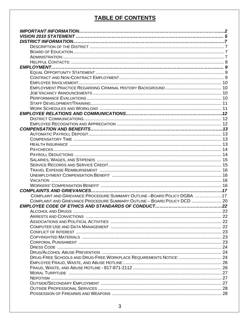## **TABLE OF CONTENTS**

| COMPLAINT AND GRIEVANCE PROCEDURE SUMMARY OUTLINE -BOARD POLICY DGBA 17  |  |
|--------------------------------------------------------------------------|--|
| COMPLAINT AND GRIEVANCE PROCEDURE SUMMARY OUTLINE - BOARD POLICY DCD  20 |  |
|                                                                          |  |
|                                                                          |  |
|                                                                          |  |
|                                                                          |  |
|                                                                          |  |
|                                                                          |  |
|                                                                          |  |
|                                                                          |  |
|                                                                          |  |
|                                                                          |  |
| DRUG-FREE SCHOOLS AND DRUG-FREE WORKPLACE REQUIREMENTS NOTICE:  24       |  |
|                                                                          |  |
|                                                                          |  |
|                                                                          |  |
|                                                                          |  |
|                                                                          |  |
|                                                                          |  |
|                                                                          |  |
|                                                                          |  |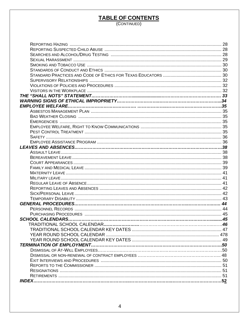## TABLE OF CONTENTS

| THE "SHALL NOTS" STATEMENT………………………………………………………………………………… 33 |  |
|--------------------------------------------------------------|--|
|                                                              |  |
|                                                              |  |
|                                                              |  |
|                                                              |  |
|                                                              |  |
|                                                              |  |
|                                                              |  |
|                                                              |  |
|                                                              |  |
|                                                              |  |
|                                                              |  |
|                                                              |  |
|                                                              |  |
|                                                              |  |
|                                                              |  |
|                                                              |  |
|                                                              |  |
|                                                              |  |
|                                                              |  |
|                                                              |  |
|                                                              |  |
|                                                              |  |
|                                                              |  |
|                                                              |  |
|                                                              |  |
|                                                              |  |
|                                                              |  |
|                                                              |  |
|                                                              |  |
|                                                              |  |
|                                                              |  |
|                                                              |  |
|                                                              |  |
|                                                              |  |
|                                                              |  |
|                                                              |  |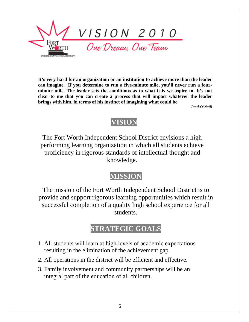<span id="page-4-0"></span>

**It's very hard for an organization or an institution to achieve more than the leader can imagine. If you determine to run a five-minute mile, you'll never run a fourminute mile. The leader sets the conditions as to what it is we aspire to. It's not clear to me that you can create a process that will impact whatever the leader brings with him, in terms of his instinct of imagining what could be.**

*Paul O'Neill* 

## **VISION**

The Fort Worth Independent School District envisions a high performing learning organization in which all students achieve proficiency in rigorous standards of intellectual thought and knowledge.

## **MISSION**

The mission of the Fort Worth Independent School District is to provide and support rigorous learning opportunities which result in successful completion of a quality high school experience for all students.

## **STRATEGIC GOALS**

- 1. All students will learn at high levels of academic expectations resulting in the elimination of the achievement gap.
- 2. All operations in the district will be efficient and effective.
- 3. Family involvement and community partnerships will be an integral part of the education of all children.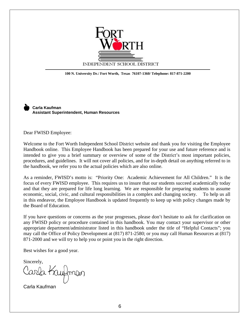

**100 N. University Dr./ Fort Worth, Texas 76107-1360/ Telephone: 817-871-2200** 

 **Carla Kaufman Assistant Superintendent, Human Resources**

Dear FWISD Employee:

 $\overline{a}$ 

Welcome to the Fort Worth Independent School District website and thank you for visiting the Employee Handbook online. This Employee Handbook has been prepared for your use and future reference and is intended to give you a brief summary or overview of some of the District's most important policies, procedures, and guidelines. It will not cover all policies, and for in-depth detail on anything referred to in the handbook, we refer you to the actual policies which are also online.

As a reminder, FWISD's motto is: "Priority One: Academic Achievement for All Children." It is the focus of every FWISD employee. This requires us to insure that our students succeed academically today and that they are prepared for life long learning. We are responsible for preparing students to assume economic, social, civic, and cultural responsibilities in a complex and changing society. To help us all in this endeavor, the Employee Handbook is updated frequently to keep up with policy changes made by the Board of Education.

If you have questions or concerns as the year progresses, please don't hesitate to ask for clarification on any FWISD policy or procedure contained in this handbook. You may contact your supervisor or other appropriate department/administrator listed in this handbook under the title of "Helpful Contacts"; you may call the Office of Policy Development at (817) 871-2580; or you may call Human Resources at (817) 871-2000 and we will try to help you or point you in the right direction.

Best wishes for a good year.

Sincerely,

Carla Kaufmar

Carla Kaufman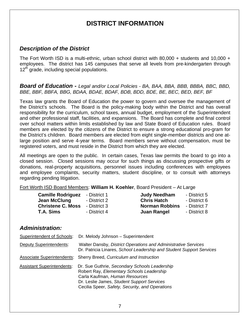## **DISTRICT INFORMATION**

#### <span id="page-6-0"></span>*Description of the District*

The Fort Worth ISD is a multi-ethnic, urban school district with 80,000 + students and 10,000 + employees. The district has 145 campuses that serve all levels from pre-kindergarten through  $12<sup>th</sup>$  grade, including special populations.

#### *Board of Education - Legal and/or Local Policies - [BA,](http://www.tasb.org/policy/pol/private/220905/pol.cfm?DisplayPage=BA(LEGAL).html) [BAA](http://www.tasb.org/policy/pol/private/220905/pol.cfm?DisplayPage=BAA(LEGAL).html), [BBA,](http://www.tasb.org/policy/pol/private/220905/pol.cfm?DisplayPage=BBA(LEGAL).html) [BBB,](http://www.tasb.org/policy/pol/private/220905/pol.cfm?DisplayPage=BBB(LOCAL).html) [BBBA](http://www.tasb.org/policy/pol/private/220905/pol.cfm?DisplayPage=BBBA(LEGAL).html), [BBC](http://www.tasb.org/policy/pol/private/220905/pol.cfm?DisplayPage=BBC(LOCAL).html), [BBD](http://www.tasb.org/policy/pol/private/220905/pol.cfm?DisplayPage=BBD(LOCAL).html),*  [BBE,](http://www.tasb.org/policy/pol/private/220905/pol.cfm?DisplayPage=BBE(LOCAL).html) [BBF,](http://www.tasb.org/policy/pol/private/220905/pol.cfm?DisplayPage=BBF(LOCAL).html) [BBFA,](http://www.tasb.org/policy/pol/private/220905/pol.cfm?DisplayPage=BBFA(LEGAL).html) [BBG,](http://www.tasb.org/policy/pol/private/220905/pol.cfm?DisplayPage=BBG(LOCAL).html) [BDAA,](http://www.tasb.org/policy/pol/private/220905/pol.cfm?DisplayPage=BDAA(LOCAL).html) [BDAE](http://www.tasb.org/policy/pol/private/220905/pol.cfm?DisplayPage=BDAE(LEGAL).html), [BDAF,](http://www.tasb.org/policy/pol/private/220905/pol.cfm?DisplayPage=BDAF(LEGAL).html) [BDB](http://www.tasb.org/policy/pol/private/220905/pol.cfm?DisplayPage=BDB(LOCAL).html), [BDD](http://www.tasb.org/policy/pol/private/220905/pol.cfm?DisplayPage=BDD(LOCAL).html), [BDE,](http://www.tasb.org/policy/pol/private/220905/pol.cfm?DisplayPage=BDE(LOCAL).html) [BE](http://www.tasb.org/policy/pol/private/220905/pol.cfm?DisplayPage=BE(LOCAL).html), [BEC,](http://www.tasb.org/policy/pol/private/220905/pol.cfm?DisplayPage=BEC(LOCAL).html) [BED,](http://www.tasb.org/policy/pol/private/220905/pol.cfm?DisplayPage=BED(LOCAL).html) [BEF,](http://www.tasb.org/policy/pol/private/220905/pol.cfm?DisplayPage=BEF(LOCAL).html) [BF](http://www.tasb.org/policy/pol/private/220905/pol.cfm?DisplayPage=BF(LOCAL).html)

Texas law grants the Board of Education the power to govern and oversee the management of the District's schools. The Board is the policy-making body within the District and has overall responsibility for the curriculum, school taxes, annual budget, employment of the Superintendent and other professional staff, facilities, and expansions. The Board has complete and final control over school matters within limits established by law and State Board of Education rules. Board members are elected by the citizens of the District to ensure a strong educational pro-gram for the District's children. Board members are elected from eight single-member districts and one atlarge position and serve 4-year terms. Board members serve without compensation, must be registered voters, and must reside in the District from which they are elected.

All meetings are open to the public. In certain cases, Texas law permits the board to go into a closed session. Closed sessions may occur for such things as discussing prospective gifts or donations, real-property acquisitions, personnel issues including conferences with employees and employee complaints, security matters, student discipline, or to consult with attorneys regarding pending litigation.

Fort Worth ISD Board Members: **William H. Koehler**, Board President – At Large

| <b>Camille Rodriguez</b> | - District 1 | <b>Judy Needham</b>   | - District 5 |
|--------------------------|--------------|-----------------------|--------------|
| Jean McClung             | - District 2 | <b>Chris Hatch</b>    | - District 6 |
| <b>Christene C. Moss</b> | - District 3 | <b>Norman Robbins</b> | - District 7 |
| <b>T.A. Sims</b>         | - District 4 | <b>Juan Rangel</b>    | - District 8 |

#### *Administration:*

| Superintendent of Schools:        | Dr. Melody Johnson - Superintendent                                                                                                                                                                                           |
|-----------------------------------|-------------------------------------------------------------------------------------------------------------------------------------------------------------------------------------------------------------------------------|
| <b>Deputy Superintendents:</b>    | Walter Dansby, District Operations and Administrative Services<br>Dr. Patricia Linares, School Leadership and Student Support Services                                                                                        |
|                                   | <b>Associate Superintendents:</b> Sherry Breed, Curriculum and Instruction                                                                                                                                                    |
| <b>Assistant Superintendents:</b> | Dr. Sue Guthrie, Secondary Schools Leadership<br>Robert Ray, Elementary Schools Leadership<br>Carla Kaufman, Human Resources<br>Dr. Leslie James, Student Support Services<br>Cecilia Speer, Safety, Security, and Operations |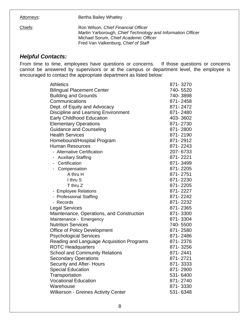<span id="page-7-0"></span>Attorneys: **Bertha Bailey Whatley** 

Chiefs: Ron Wilson, *Chief Financial Officer* Martin Yarborough, *Chief Technology and Information Officer* Michael Sorum, *Chief Academic Officer* Fred Van Valkenburg, *Chief of Staff*

#### *Helpful Contacts:*

From time to time, employees have questions or concerns. If those questions or concerns cannot be answered by supervisors or at the campus or department level, the employee is encouraged to contact the appropriate department as listed below:

| <b>Athletics</b>                                      | 871-3270 |
|-------------------------------------------------------|----------|
| <b>Bilingual Placement Center</b>                     | 740-5520 |
| <b>Building and Grounds</b>                           | 740-3898 |
| Communications                                        | 871-2458 |
| Dept. of Equity and Advocacy                          | 871-2472 |
| Discipline and Learning Environment                   | 871-2480 |
| <b>Early Childhood Education</b>                      | 403-3602 |
| <b>Elementary Operations</b>                          | 871-2730 |
| <b>Guidance and Counseling</b>                        | 871-2800 |
| <b>Health Services</b>                                | 871-2190 |
| Homebound/Hospital Program                            | 871-2912 |
| <b>Human Resources</b>                                | 871-2243 |
| - Alternative Certification                           | 207-6733 |
| <b>Auxiliary Staffing</b><br>$\overline{\phantom{0}}$ | 871-2221 |
| - Certification                                       | 871-3499 |
| - Compensation                                        | 871-2205 |
| A thru H                                              | 871-2751 |
| I thru S                                              | 871-2230 |
| T thru Z                                              | 871-2205 |
| - Employee Relations                                  | 871-2227 |
| - Professional Staffing                               | 871-2242 |
| - Records                                             | 871-2232 |
| <b>Legal Services</b>                                 | 871-2365 |
| Maintenance, Operations, and Construction             | 871-3300 |
| Maintenance - Emergency                               | 871-3304 |
| <b>Nutrition Services</b>                             | 740-5500 |
| <b>Office of Policy Development</b>                   | 871-2580 |
| <b>Psychological Services</b>                         | 871-2486 |
| Reading and Language Acquisition Programs             | 871-2376 |
| <b>ROTC Headquarters</b>                              | 871-3256 |
| <b>School and Community Relations</b>                 | 871-2441 |
| <b>Secondary Operations</b>                           | 871-2721 |
| Security and After- Hours                             | 871-3333 |
| <b>Special Education</b>                              | 871-2900 |
| Transportation                                        | 531-6400 |
| <b>Vocational Education</b>                           | 871-2740 |
| Warehouse                                             | 871-3330 |
| <b>Wilkerson - Greines Activity Center</b>            | 531-6348 |
|                                                       |          |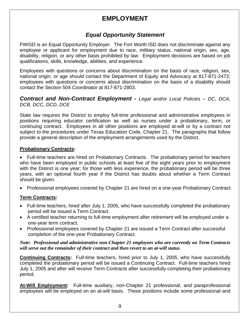## **EMPLOYMENT**

#### *Equal Opportunity Statement*

<span id="page-8-0"></span>FWISD is an Equal Opportunity Employer. The Fort Worth ISD does not discriminate against any employee or applicant for employment due to race, military status, national origin, sex, age, disability, religion, or any other basis prohibited by law. Employment decisions are based on job qualifications, skills, knowledge, abilities, and experience.

Employees with questions or concerns about discrimination on the basis of race, religion, sex, national origin, or age should contact the Department of Equity and Advocacy at 817-871-2472; employees with questions or concerns about discrimination on the basis of a disability should contact the Section 504 Coordinator at 817-871-2803.

#### *Contract and Non-Contract Employment - Legal and/or Local Policies – [DC,](http://www.tasb.org/policy/pol/private/220905/pol.cfm?DisplayPage=DC(LOCAL).html) [DCA](http://www.tasb.org/policy/pol/private/220905/pol.cfm?DisplayPage=DCA(LEGAL).html), [DCB,](http://www.tasb.org/policy/pol/private/220905/pol.cfm?DisplayPage=DCB(LOCAL).html) [DCC,](http://www.tasb.org/policy/pol/private/220905/pol.cfm?DisplayPage=DCC(LOCAL).html) [DCD](http://www.tasb.org/policy/pol/private/220905/pol.cfm?DisplayPage=DCD(LOCAL).html), [DCE](http://www.tasb.org/policy/pol/private/220905/pol.cfm?DisplayPage=DCE(LOCAL).html)*

State law requires the District to employ full-time professional and administrative employees in positions requiring educator certification as well as nurses under a probationary, term, or continuing contract. Employees in all other positions are employed at-will or by a contract not subject to the procedures under Texas Education Code, Chapter 21. The paragraphs that follow provide a general description of the employment arrangements used by the District.

#### **Probationary Contracts:**

• Full-time teachers are hired on Probationary Contracts. The probationary period for teachers who have been employed in public schools at least five of the eight years prior to employment with the District is one year; for those with less experience, the probationary period will be three years, with an optional fourth year if the District has doubts about whether a Term Contract should be given.

• Professional employees covered by Chapter 21 are hired on a one-year Probationary Contract.

#### **Term Contracts:**

- Full-time teachers, hired after July 1, 2005, who have successfully completed the probationary period will be issued a Term Contract.
- A certified teacher returning to full-time employment after retirement will be employed under a one-year term contract.
- Professional employees covered by Chapter 21 are issued a Term Contract after successful completion of the one-year Probationary Contract.

#### *Note: Professional and administrative non-Chapter 21 employees who are currently on Term Contracts will serve out the remainder of their contract and then revert to an at-will status*.

**Continuing Contracts:** Full-time teachers, hired prior to July 1, 2005, who have successfully completed the probationary period will be issued a Continuing Contract. Full-time teachers hired July 1, 2005 and after will receive Term Contracts after successfully completing their probationary period.

**At-Will Employment:** Full-time auxiliary, non-Chapter 21 professional, and paraprofessional employees will be employed on an at-will basis. These positions include some professional and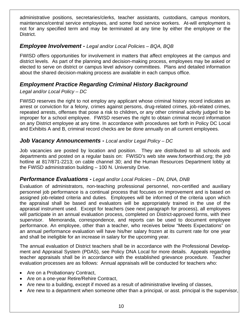<span id="page-9-0"></span>administrative positions, secretaries/clerks, teacher assistants, custodians, campus monitors, maintenance/central service employees, and some food service workers. At-will employment is not for any specified term and may be terminated at any time by either the employee or the District.

#### *Employee Involvement - Legal and/or Local Policies – [BQA,](http://www.tasb.org/policy/pol/private/220905/pol.cfm?DisplayPage=BQA(LOCAL).html) [BQB](http://www.tasb.org/policy/pol/private/220905/pol.cfm?DisplayPage=BQB(LOCAL).html)*

FWISD offers opportunities for involvement in matters that affect employees at the campus and district levels. As part of the planning and decision-making process, employees may be asked or elected to serve on district or campus level advisory committees. Plans and detailed information about the shared decision-making process are available in each campus office.

#### *Employment Practice Regarding Criminal History Background*

#### *Legal and/or Local Policy – [DC](http://www.tasb.org/policy/pol/private/220905/pol.cfm?DisplayPage=DC(LOCAL).html)*

FWISD reserves the right to not employ any applicant whose criminal history record indicates an arrest or conviction for a felony, crimes against persons, drug-related crimes, job-related crimes, repeated arrests, offenses that pose a risk to children**,** or any other criminal activity judged to be improper for a school employee. FWISD reserves the right to obtain criminal record information on any District employee at any time. In accordance with procedures set forth in Policy DC Local and Exhibits A and B, criminal record checks are be done annually on all current employees.

#### *Job Vacancy Announcements - Local and/or Legal Policy – [DC](http://www.tasb.org/policy/pol/private/220905/pol.cfm?DisplayPage=DC(LOCAL).html)*

Job vacancies are posted by location and position. They are distributed to all schools and departments and posted on a regular basis on: FWISD's web site [www.fortworthisd.org;](http://www.fortworthisd.org/) the job hotline at 817/871-2213; on cable channel 30; and the Human Resources Department lobby at the FWISD administration building – 100 N. University Drive.

#### *Performance Evaluations - Legal and/or Local Policies – [DN,](http://www.tasb.org/policy/pol/private/220905/pol.cfm?DisplayPage=DN(LOCAL).html) [DNA,](http://www.tasb.org/policy/pol/private/220905/pol.cfm?DisplayPage=DNA(LOCAL).html) [DNB](http://www.tasb.org/policy/pol/private/220905/pol.cfm?DisplayPage=DNB(LOCAL).html)*

Evaluation of administrators, non-teaching professional personnel, non-certified and auxiliary personnel job performance is a continual process that focuses on improvement and is based on assigned job-related criteria and duties. Employees will be informed of the criteria upon which the appraisal shall be based and evaluators will be appropriately trained in the use of the appraisal instrument used. Except for teachers (see next paragraph for process), all employees will participate in an annual evaluation process, completed on District-approved forms, with their supervisor. Memoranda, correspondence, and reports can be used to document employee performance. An employee, other than a teacher, who receives below "Meets Expectations" on an annual performance evaluation will have his/her salary frozen at its current rate for one year and shall be ineligible for an increase in salary for the upcoming year.

The annual evaluation of District teachers shall be in accordance with the Professional Development and Appraisal System (PDAS), see Policy [DNA](http://www.tasb.org/policy/pol/private/220905/pol.cfm?DisplayPage=DNA(LOCAL).html) Local for more details. Appeals regarding teacher appraisals shall be in accordance with the established grievance procedure. Teacher evaluation processes are as follows: Annual appraisals will be conducted for teachers who:

- Are on a Probationary Contract,
- Are on a one-year Retire/Rehire Contract,
- Are new to a building, except if moved as a result of administrative leveling of classes,
- Are new to a department when someone other than a principal, or asst. principal is the supervisor,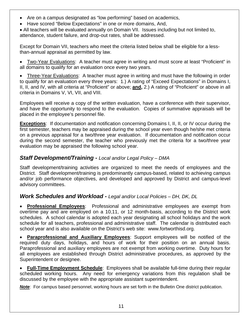- <span id="page-10-0"></span>• Are on a campus designated as "low performing" based on academics,
- Have scored "Below Expectations" in one or more domains, And,

• All teachers will be evaluated annually on Domain VII. Issues including but not limited to, attendance, student failure, and drop-out rates, shall be addressed.

Except for Domain VII, teachers who meet the criteria listed below shall be eligible for a lessthan-annual appraisal as permitted by law.

• Two-Year Evaluations: A teacher must agree in writing and must score at least "Proficient" in all domains to qualify for an evaluation once every two years.

• Three-Year Evaluations: A teacher must agree in writing and must have the following in order to qualify for an evaluation every three years: 1.) A rating of "Exceed Expectations" in Domains I, II, II, and IV, with all criteria at "Proficient" or above; **and,** 2.) A rating of "Proficient" or above in all criteria in Domains V, VI, VII, and VIII.

Employees will receive a copy of the written evaluation, have a conference with their supervisor, and have the opportunity to respond to the evaluation. Copies of summative appraisals will be placed in the employee's personnel file.

**Exceptions**: If documentation and notification concerning Domains I, II, II, or IV occur during the first semester, teachers may be appraised during the school year even though he/she met criteria on a previous appraisal for a two/three year evaluation. If documentation and notification occur during the second semester, the teacher who previously met the criteria for a two/three year evaluation may be appraised the following school year.

#### *Staff Development/Training - Local and/or Legal Policy – [DMA](http://www.tasb.org/policy/pol/private/220905/pol.cfm?DisplayPage=DMA(LEGAL).html)*

Staff development/training activities are organized to meet the needs of employees and the District. Staff development/training is predominantly campus-based, related to achieving campus and/or job performance objectives, and developed and approved by District and campus-level advisory committees.

#### *Work Schedules and Workload - Legal and/or Local Policies – [DH,](http://www.tasb.org/policy/pol/private/220905/pol.cfm?DisplayPage=DH(LOCAL).html) [DK,](http://www.tasb.org/policy/pol/private/220905/pol.cfm?DisplayPage=DK(LOCAL).html) [DL](http://www.tasb.org/policy/pol/private/220905/pol.cfm?DisplayPage=DL(LEGAL).html)*

• **Professional Employees**: Professional and administrative employees are exempt from overtime pay and are employed on a 10,11, or 12 month-basis, according to the District work schedules. A school calendar is adopted each year designating all school holidays and the work schedule for all teachers, professional and administrative staff. The calendar is distributed each school year and is also available on the District's web site: [www.fortworthisd.org](http://www.fortworthisd.org/).

• **Paraprofessional and Auxiliary Employees**: Support employees will be notified of the required duty days, holidays, and hours of work for their position on an annual basis. Paraprofessional and auxiliary employees are not exempt from working overtime. Duty hours for all employees are established through District administrative procedures, as approved by the Superintendent or designee.

**Full-Time Employment Schedule:** Employees shall be available full-time during their regular scheduled working hours. Any need for emergency variations from this regulation shall be discussed by the employee with the appropriate assistant superintendent.

**Note**: For campus based personnel, working hours are set forth in the Bulletin One district publication.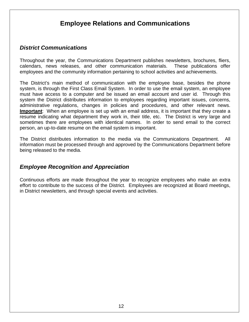## **Employee Relations and Communications**

#### <span id="page-11-0"></span>*District Communications*

Throughout the year, the Communications Department publishes newsletters, brochures, fliers, calendars, news releases, and other communication materials. These publications offer employees and the community information pertaining to school activities and achievements.

The District's main method of communication with the employee base, besides the phone system, is through the First Class Email System. In order to use the email system, an employee must have access to a computer and be issued an email account and user id. Through this system the District distributes information to employees regarding important issues, concerns, administrative regulations, changes in policies and procedures, and other relevant news. **Important**: When an employee is set up with an email address, it is important that they create a resume indicating what department they work in, their title, etc. The District is very large and sometimes there are employees with identical names. In order to send email to the correct person, an up-to-date resume on the email system is important.

The District distributes information to the media via the Communications Department. All information must be processed through and approved by the Communications Department before being released to the media.

#### *Employee Recognition and Appreciation*

Continuous efforts are made throughout the year to recognize employees who make an extra effort to contribute to the success of the District. Employees are recognized at Board meetings, in District newsletters, and through special events and activities.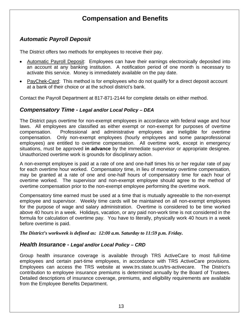## **Compensation and Benefits**

#### <span id="page-12-1"></span><span id="page-12-0"></span>*Automatic Payroll Deposit*

The District offers two methods for employees to receive their pay.

- Automatic Payroll Deposit: Employees can have their earnings electronically deposited into an account at any banking institution. A notification period of one month is necessary to activate this service. Money is immediately available on the pay date.
- PayChek-Card: This method is for employees who do not qualify for a direct deposit account at a bank of their choice or at the school district's bank.

Contact the Payroll Department at 817-871-2144 for complete details on either method.

#### **Compensatory Time - Legal and/or Local Policy – [DEA](http://www.tasb.org/policy/pol/private/220905/pol.cfm?DisplayPage=DEA(LOCAL).html)**

The District pays overtime for non-exempt employees in accordance with federal wage and hour laws. All employees are classified as either exempt or non-exempt for purposes of overtime compensation. Professional and administrative employees are ineligible for overtime compensation. Only non-exempt employees (hourly employees and some paraprofessional employees) are entitled to overtime compensation. All overtime work, except in emergency situations, must be approved **in advance** by the immediate supervisor or appropriate designee. Unauthorized overtime work is grounds for disciplinary action.

A non-exempt employee is paid at a rate of one and one-half times his or her regular rate of pay for each overtime hour worked. Compensatory time, in lieu of monetary overtime compensation, may be granted at a rate of one and one-half hours of compensatory time for each hour of overtime worked. The supervisor and non-exempt employee should agree to the method of overtime compensation prior to the non-exempt employee performing the overtime work.

Compensatory time earned must be used at a time that is mutually agreeable to the non-exempt employee and supervisor. Weekly time cards will be maintained on all non-exempt employees for the purpose of wage and salary administration. Overtime is considered to be time worked above 40 hours in a week. Holidays, vacation, or any paid non-work time is not considered in the formula for calculation of overtime pay. You have to literally, physically work 40 hours in a week before overtime is paid.

*The District's workweek is defined as: 12:00 a.m. Saturday to 11:59 p.m. Friday.* 

#### *Health Insurance - Legal and/or Local Policy – [CRD](http://www.tasb.org/policy/pol/private/220905/pol.cfm?DisplayPage=CRD(LOCAL).html)*

Group health insurance coverage is available through TRS ActiveCare to most full-time employees and certain part-time employees, in accordance with TRS ActiveCare provisions. Employees can access the TRS website at [www.trs.state.tx.us/trs-activecare.](http://www.trs.state.tx.us/trs-activecare) The District's contribution to employee insurance premiums is determined annually by the Board of Trustees. Detailed descriptions of insurance coverage, premiums, and eligibility requirements are available from the Employee Benefits Department.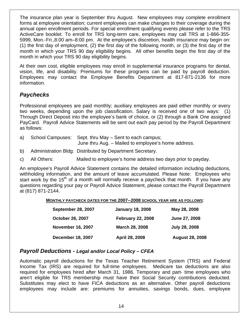<span id="page-13-0"></span>The insurance plan year is September thru August. New employees may complete enrollment forms at employee orientation; current employees can make changes to their coverage during the annual open enrollment periods. For special enrollment qualifying events please refer to the TRS ActiveCare booklet. To enroll for TRS long-term care, employees may call TRS at 1-866-355- 5999, Mon.-Fri.,8:00 am–8:00 pm. At the employee's discretion, health insurance may begin on: (1) the first day of employment, (2) the first day of the following month, or (3) the first day of the month in which your TRS 90 day eligibility begins. All other benefits begin the first day of the month in which your TRS 90 day eligibility begins.

At their own cost, eligible employees may enroll in supplemental insurance programs for dental, vision, life, and disability. Premiums for these programs can be paid by payroll deduction. Employees may contact the Employee Benefits Department at 817-871-2136 for more information.

### *Paychecks*

Professional employees are paid monthly; auxiliary employees are paid either monthly or every two weeks, depending upon the job classification. Salary is received one of two ways: (1) Through Direct Deposit into the employee's bank of choice, or (2) through a Bank One assigned PayCard. Payroll Advice Statements will be sent out each pay period by the Payroll Department as follows:

a) School Campuses: Sept. thru May – Sent to each campus;

June thru Aug. – Mailed to employee's home address.

- b) Administration Bldg: Distributed by Department Secretary.
- c) All Others: Mailed to employee's home address two days prior to payday.

An employee's Payroll Advice Statement contains the detailed information including deductions, withholding information, and the amount of leave accumulated. Please Note: Employees who start work by the 15<sup>th</sup> of a month will normally receive a paycheck that month. If you have any questions regarding your pay or Payroll Advice Statement, please contact the Payroll Department at (817) 871-2144.

#### **MONTHLY PAYCHECK DATES FOR THE 2007--2008 SCHOOL YEAR ARE AS FOLLOWS**:

| <b>September 28, 2007</b> | <b>January 18, 2008</b>  | May 28, 2008           |
|---------------------------|--------------------------|------------------------|
| <b>October 26, 2007</b>   | <b>February 22, 2008</b> | June 27, 2008          |
| <b>November 16, 2007</b>  | March 28, 2008           | <b>July 28, 2008</b>   |
| <b>December 18, 2007</b>  | April 28, 2008           | <b>August 28, 2008</b> |

#### *Payroll Deductions - Legal and/or Local Policy – [CFEA](http://www.tasb.org/policy/pol/private/220905/pol.cfm?DisplayPage=CFEA(LOCAL).html)*

Automatic payroll deductions for the Texas Teacher Retirement System (TRS) and Federal Income Tax (IRS) are required for full-time employees. Medicare tax deductions are also required for employees hired after March 31, 1986. Temporary and part- time employees who aren't eligible for TRS membership must have their Social Security contributions deducted. Substitutes may elect to have FICA deductions as an alternative. Other payroll deductions employees may include are: premiums for annuities, savings bonds, dues, employee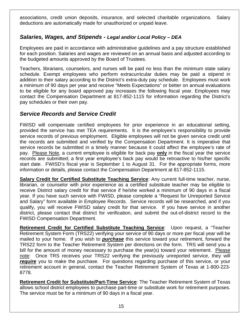<span id="page-14-0"></span>associations, credit union deposits, insurance, and selected charitable organizations. Salary deductions are automatically made for unauthorized or unpaid leave.

#### *Salaries, Wages, and Stipends - Legal and/or Local Policy – [DEA](http://www.tasb.org/policy/pol/private/220905/pol.cfm?DisplayPage=DEA(LOCAL).html)*

Employees are paid in accordance with administrative guidelines and a pay structure established for each position. Salaries and wages are reviewed on an annual basis and adjusted according to the budgeted amounts approved by the Board of Trustees.

Teachers, librarians, counselors, and nurses will be paid no less than the minimum state salary schedule. Exempt employees who perform extracurricular duties may be paid a stipend in addition to their salary according to the District's extra-duty pay schedule. Employees must work a minimum of 90 days per year and receive "Meets Expectations" or better on annual evaluations to be eligible for any board approved pay increases the following fiscal year. Employees may contact the Compensation Department at 817-852-1115 for information regarding the District's pay schedules or their own pay.

#### *Service Records and Service Credit*

FWISD will compensate certified employees for prior experience in an educational setting, provided the service has met TEA requirements. It is the employee's responsibility to provide service records of previous employment. Eligible employees will not be given service credit until the records are submitted and verified by the Compensation Department. It is imperative that service records be submitted in a timely manner because it could affect the employee's rate of pay. Please Note, a current employee is eligible for back pay **only** in the fiscal year the service records are submitted; a first year employee's back pay would be retroactive to his/her specific start date. FWISD's fiscal year is September 1 to August 31. For the appropriate forms, more information or details, please contact the Compensation Department at 817-852-1115.

**Salary Credit for Certified Substitute Teaching Service**: Any current full-time teacher, nurse, librarian, or counselor with prior experience as a certified substitute teacher may be eligible to receive District salary credit for that service if he/she worked a minimum of 90 days in a fiscal year. If you have such service with FWISD, please complete a "Request for Unreported Service and Salary" form available in Employee Records. Service records will be researched, and if you qualify, you will receive FWISD salary credit for that service. If you have service in another district, please contact that district for verification, and submit the out-of-district record to the FWISD Compensation Department.

**Retirement Credit for Certified Substitute Teaching Service**: Upon request, a "Teacher Retirement System Form (TRS22) verifying your service of 90 days or more per fiscal year will be mailed to your home. If you wish to *purchase* this service toward your retirement, forward the TRS22 form to the Teacher Retirement System per directions on the form. TRS will send you a bill for the amount of money necessary to purchase the year(s) toward your retirement. Please note: Once TRS receives your TRS22 verifying the previously unreported service, they will **require** you to make the purchase. For questions regarding purchase of this service, or your retirement account in general, contact the Teacher Retirement System of Texas at 1-800-223- 8778.

**Retirement Credit for Substitute/Part-Time Service**: The Teacher Retirement System of Texas allows school district employees to purchase part-time or substitute work for retirement purposes. The service must be for a minimum of 90 days in a fiscal year.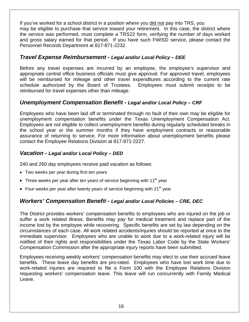<span id="page-15-0"></span>If you've worked for a school district in a position where you did not pay into TRS, you may be eligible to purchase that service toward your retirement. In this case, the district where the service was performed, must complete a TRS22 form, verifying the number of days worked and gross salary earned for that period. If you have such FWISD service, please contact the Personnel Records Department at 817-871-2232.

#### *Travel Expense Reimbursement - Legal and/or Local Policy – [DEE](http://www.tasb.org/policy/pol/private/220905/pol.cfm?DisplayPage=DEE(LOCAL).html)*

Before any travel expenses are incurred by an employee, the employee's supervisor and appropriate central office business officials must give approval. For approved travel, employees will be reimbursed for mileage and other travel expenditures according to the current rate schedule authorized by the Board of Trustees. Employees must submit receipts to be reimbursed for travel expenses other than mileage.

#### **Unemployment Compensation Benefit - Legal and/or Local Policy - [CRF](http://www.tasb.org/policy/pol/private/220905/pol.cfm?DisplayPage=CRF(LOCAL).html)**

Employees who have been laid off or terminated through no fault of their own may be eligible for unemployment compensation benefits under the Texas Unemployment Compensation Act. Employees are not eligible to collect unemployment benefits during regularly scheduled breaks in the school year or the summer months if they have employment contracts or reasonable assurance of returning to service. For more information about unemployment benefits please contact the Employee Relations Division at 817-871-2227.

#### *Vacation - Legal and/or Local Policy – [DED](http://www.tasb.org/policy/pol/private/220905/pol.cfm?DisplayPage=DED(LOCAL).html)*

240 and 260 day employees receive paid vacation as follows:

- Two weeks per year during first ten years
- Three weeks per year after ten years of service beginning with  $11<sup>th</sup>$  year
- Four weeks per year after twenty years of service beginning with  $21^{st}$  year

#### *Workers' Compensation Benefit - Legal and/or Local Policies – [CRE,](http://www.tasb.org/policy/pol/private/220905/pol.cfm?DisplayPage=CRE(LOCAL).html) [DEC](http://www.tasb.org/policy/pol/private/220905/pol.cfm?DisplayPage=DEC(LOCAL).html)*

The District provides workers' compensation benefits to employees who are injured on the job or suffer a work related illness. Benefits may pay for medical treatment and replace part of the income lost by the employee while recovering. Specific benefits are set by law depending on the circumstances of each case. All work related accidents/injuries should be reported at once to the immediate supervisor. Employees who are unable to work due to a work-related injury will be notified of their rights and responsibilities under the Texas Labor Code by the State Workers' Compensation Commission after the appropriate injury reports have been submitted.

Employees receiving weekly workers' compensation benefits may elect to use their accrued leave benefits. These leave day benefits are pro-rated. Employees who have lost work time due to work-related injuries are required to file a Form 100 with the Employee Relations Division requesting workers' compensation leave. This leave will run concurrently with Family Medical Leave.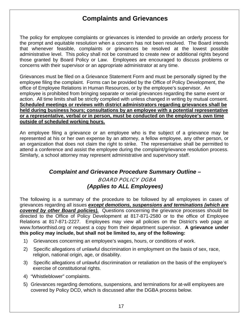## **Complaints and Grievances**

<span id="page-16-0"></span>The policy for employee complaints or grievances is intended to provide an orderly process for the prompt and equitable resolution when a concern has not been resolved. The Board intends that whenever feasible, complaints or grievances be resolved at the lowest possible administrative level. This policy shall not be construed to create new or additional rights beyond those granted by Board Policy or Law. Employees are encouraged to discuss problems or concerns with their supervisor or an appropriate administrator at any time.

Grievances must be filed on a Grievance Statement Form and must be personally signed by the employee filing the complaint. Forms can be provided by the Office of Policy Development, the office of Employee Relations in Human Resources, or by the employee's supervisor. An employee is prohibited from bringing separate or serial grievances regarding the same event or action. All time limits shall be strictly complied with unless changed in writing by mutual consent. **Scheduled meetings or reviews with district administrators regarding grievances shall be held during business hours; consultations by an employee with a potential representative or a representative, verbal or in person, must be conducted on the employee's own time outside of scheduled working hours.** 

An employee filing a grievance or an employee who is the subject of a grievance may be represented at his or her own expense by an attorney, a fellow employee, any other person, or an organization that does not claim the right to strike. The representative shall be permitted to attend a conference and assist the employee during the complaint/grievance resolution process. Similarly, a school attorney may represent administrative and supervisory staff.

## *Complaint and Grievance Procedure Summary Outline –*  BOARD POLICY DGBA *(Applies to ALL Employees)*

The following is a summary of the procedure to be followed by all employees in cases of grievances regarding all issues *except demotions, suspensions and terminations (which are covered by other Board policies).* Questions concerning the grievance processes should be directed to the Office of Policy Development at 817-871-2580 or to the office of Employee Relations at 817-871-2227. Employees may view all policies on the District's web page at [www.fortworthisd.org](http://www.fortworthisd.org/) or request a copy from their department supervisor. **A grievance under this policy may include, but shall not be limited to, any of the following:** 

- 1) Grievances concerning an employee's wages, hours, or conditions of work.
- 2) Specific allegations of unlawful discrimination in employment on the basis of sex, race, religion, national origin, age, or disability.
- 3) Specific allegations of unlawful discrimination or retaliation on the basis of the employee's exercise of constitutional rights.
- 4) "Whistleblower" complaints.
- 5) Grievances regarding demotions, suspensions, and terminations for at-will employees are covered by Policy DCD, which is discussed after the DGBA process below.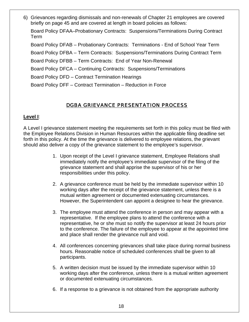6) Grievances regarding dismissals and non-renewals of Chapter 21 employees are covered briefly on page 45 and are covered at length in board policies as follows: Board Policy DFAA–Probationary Contracts: Suspensions/Terminations During Contract Term Board Policy DFAB – Probationary Contracts: Terminations - End of School Year Term Board Policy DFBA – Term Contracts: Suspensions/Terminations During Contract Term Board Policy DFBB – Term Contracts: End of Year Non-Renewal

Board Policy DFCA – Continuing Contracts: Suspensions/Terminations

Board Policy DFD – Contract Termination Hearings

Board Policy DFF – Contract Termination – Reduction in Force

#### DGBA GRIEVANCE PRESENTATION PROCESS

#### **Level I**:

A Level I grievance statement meeting the requirements set forth in this policy must be filed with the Employee Relations Division in Human Resources within the applicable filing deadline set forth in this policy. At the time the grievance is delivered to employee relations, the grievant should also deliver a copy of the grievance statement to the employee's supervisor.

- 1. Upon receipt of the Level I grievance statement, Employee Relations shall immediately notify the employee's immediate supervisor of the filing of the grievance statement and shall apprise the supervisor of his or her responsibilities under this policy.
- 2. A grievance conference must be held by the immediate supervisor within 10 working days after the receipt of the grievance statement, unless there is a mutual written agreement or documented extenuating circumstances. However, the Superintendent can appoint a designee to hear the grievance.
- 3. The employee must attend the conference in person and may appear with a representative. If the employee plans to attend the conference with a representative, he or she must so notify the supervisor at least 24 hours prior to the conference. The failure of the employee to appear at the appointed time and place shall render the grievance null and void.
- 4. All conferences concerning grievances shall take place during normal business hours. Reasonable notice of scheduled conferences shall be given to all participants.
- 5. A written decision must be issued by the immediate supervisor within 10 working days after the conference, unless there is a mutual written agreement or documented extenuating circumstances.
- 6. If a response to a grievance is not obtained from the appropriate authority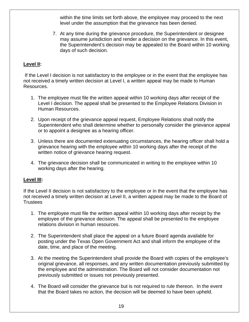within the time limits set forth above, the employee may proceed to the next level under the assumption that the grievance has been denied.

7. At any time during the grievance procedure, the Superintendent or designee may assume jurisdiction and render a decision on the grievance. In this event, the Superintendent's decision may be appealed to the Board within 10 working days of such decision.

#### **Level II:**

If the Level I decision is not satisfactory to the employee or in the event that the employee has not received a timely written decision at Level I, a written appeal may be made to Human Resources.

- 1. The employee must file the written appeal within 10 working days after receipt of the Level I decision. The appeal shall be presented to the Employee Relations Division in Human Resources.
- 2. Upon receipt of the grievance appeal request, Employee Relations shall notify the Superintendent who shall determine whether to personally consider the grievance appeal or to appoint a designee as a hearing officer.
- 3. Unless there are documented extenuating circumstances, the hearing officer shall hold a grievance hearing with the employee within 10 working days after the receipt of the written notice of grievance hearing request.
- 4. The grievance decision shall be communicated in writing to the employee within 10 working days after the hearing.

#### **Level III:**

If the Level II decision is not satisfactory to the employee or in the event that the employee has not received a timely written decision at Level II, a written appeal may be made to the Board of **Trustees** 

- 1. The employee must file the written appeal within 10 working days after receipt by the employee of the grievance decision. The appeal shall be presented to the employee relations division in human resources.
- 2. The Superintendent shall place the appeal on a future Board agenda available for posting under the Texas Open Government Act and shall inform the employee of the date, time, and place of the meeting.
- 3. At the meeting the Superintendent shall provide the Board with copies of the employee's original grievance, all responses, and any written documentation previously submitted by the employee and the administration. The Board will not consider documentation not previously submitted or issues not previously presented.
- 4. The Board will consider the grievance but is not required to rule thereon. In the event that the Board takes no action, the decision will be deemed to have been upheld.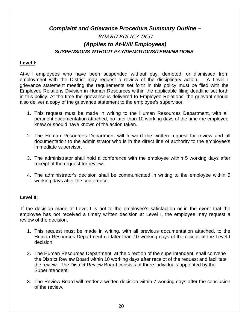## <span id="page-19-0"></span>*Complaint and Grievance Procedure Summary Outline –*  BOARD POLICY DCD *(Applies to At-Will Employees) SUSPENSIONS WTHOUT PAY/DEMOTIONS/TERMINATIONS*

#### **Level I:**

At-will employees who have been suspended without pay, demoted, or dismissed from employment with the District may request a review of the disciplinary action. A Level I grievance statement meeting the requirements set forth in this policy must be filed with the Employee Relations Division in Human Resources within the applicable filing deadline set forth in this policy. At the time the grievance is delivered to Employee Relations, the grievant should also deliver a copy of the grievance statement to the employee's supervisor.

- 1. This request must be made in writing to the Human Resources Department, with all pertinent documentation attached, no later than 10 working days of the time the employee knew or should have known of the action taken.
- 2. The Human Resources Department will forward the written request for review and all documentation to the administrator who is in the direct line of authority to the employee's immediate supervisor.
- 3. The administrator shall hold a conference with the employee within 5 working days after receipt of the request for review.
- 4. The administrator's decision shall be communicated in writing to the employee within 5 working days after the conference.

#### **Level II:**

 If the decision made at Level I is not to the employee's satisfaction or in the event that the employee has not received a timely written decision at Level I, the employee may request a review of the decision.

- 1. This request must be made in writing, with all previous documentation attached, to the Human Resources Department no later than 10 working days of the receipt of the Level I decision.
- 2. The Human Resources Department, at the direction of the superintendent, shall convene the District Review Board within 10 working days after receipt of the request and facilitate the review. The District Review Board consists of three individuals appointed by the Superintendent.
- 3. The Review Board will render a written decision within 7 working days after the conclusion of the review.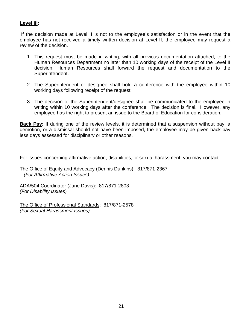#### **Level III:**

If the decision made at Level II is not to the employee's satisfaction or in the event that the employee has not received a timely written decision at Level II, the employee may request a review of the decision.

- 1. This request must be made in writing, with all previous documentation attached, to the Human Resources Department no later than 10 working days of the receipt of the Level II decision. Human Resources shall forward the request and documentation to the Superintendent.
- 2. The Superintendent or designee shall hold a conference with the employee within 10 working days following receipt of the request.
- 3. The decision of the Superintendent/designee shall be communicated to the employee in writing within 10 working days after the conference. The decision is final. However, any employee has the right to present an issue to the Board of Education for consideration.

Back Pay: If during one of the review levels, it is determined that a suspension without pay, a demotion, or a dismissal should not have been imposed, the employee may be given back pay less days assessed for disciplinary or other reasons.

For issues concerning affirmative action, disabilities, or sexual harassment, you may contact:

The Office of Equity and Advocacy (Dennis Dunkins): 817/871-2367  *(For Affirmative Action Issues)* 

ADA/504 Coordinator (June Davis): 817/871-2803 *(For Disability Issues)* 

The Office of Professional Standards: 817/871-2578 *(For Sexual Harassment Issues)*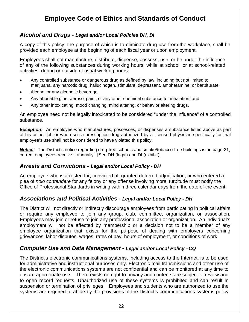## **Employee Code of Ethics and Standards of Conduct**

#### <span id="page-21-0"></span>*Alcohol and Drugs - Legal and/or Local Policies [DH,](http://www.tasb.org/policy/pol/private/220905/pol.cfm?DisplayPage=DH(LOCAL).html) [DI](http://www.tasb.org/policy/pol/private/220905/pol.cfm?DisplayPage=DI(LOCAL).html)*

A copy of this policy, the purpose of which is to eliminate drug use from the workplace, shall be provided each employee at the beginning of each fiscal year or upon employment.

Employees shall not manufacture, distribute, dispense, possess, use, or be under the influence of any of the following substances during working hours, while at school, or at school-related activities, during or outside of usual working hours:

- Any controlled substance or dangerous drug as defined by law, including but not limited to marijuana, any narcotic drug, hallucinogen, stimulant, depressant, amphetamine, or barbiturate.
- Alcohol or any alcoholic beverage.
- Any abusable glue, aerosol paint, or any other chemical substance for inhalation; and
- Any other intoxicating, mood changing, mind altering, or behavior altering drugs.

An employee need not be legally intoxicated to be considered "under the influence" of a controlled substance.

**Exception:** An employee who manufactures, possesses, or dispenses a substance listed above as part of his or her job or who uses a prescription drug authorized by a licensed physician specifically for that employee's use shall not be considered to have violated this policy.

*Notice:* The District's notice regarding drug-free schools and smoke/tobacco-free buildings is on page 21; current employees receive it annually. [See [DH](http://www.tasb.org/policy/pol/private/220905/pol.cfm?DisplayPage=DH(LOCAL).html) (legal) and [DI](http://www.tasb.org/policy/pol/private/220905/pol.cfm?DisplayPage=DI(XHIBIT).html) (exhibit)]

#### *Arrests and Convictions - Legal and/or Local Policy - [DH](http://www.tasb.org/policy/pol/private/220905/pol.cfm?DisplayPage=DH(LOCAL).html)*

An employee who is arrested for, convicted of, granted deferred adjudication, or who entered a plea of *nolo contendere* for any felony or any offense involving moral turpitude must notify the Office of Professional Standards in writing within three calendar days from the date of the event.

#### *Associations and Political Activities - Legal and/or Local Policy - [DH](http://www.tasb.org/policy/pol/private/220905/pol.cfm?DisplayPage=DH(LOCAL).html)*

The District will not directly or indirectly discourage employees from participating in political affairs or require any employee to join any group, club, committee, organization, or association. Employees may join or refuse to join any professional association or organization. An individual's employment will not be affected by membership or a decision not to be a member of any employee organization that exists for the purpose of dealing with employers concerning grievances, labor disputes, wages, rates of pay, hours of employment, or conditions of work.

#### *Computer Use and Data Management - Legal and/or Local Policy [–CQ](http://www.tasb.org/policy/pol/private/220905/pol.cfm?DisplayPage=CQ(LOCAL).html)*

The District's electronic communications systems, including access to the Internet, is to be used for administrative and instructional purposes only. Electronic mail transmissions and other use of the electronic communications systems are not confidential and can be monitored at any time to ensure appropriate use. There exists no right to privacy and contents are subject to review and to open record requests. Unauthorized use of these systems is prohibited and can result in suspension or termination of privileges. Employees and students who are authorized to use the systems are required to abide by the provisions of the District's communications systems policy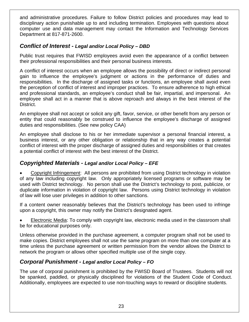<span id="page-22-0"></span>and administrative procedures. Failure to follow District policies and procedures may lead to disciplinary action punishable up to and including termination. Employees with questions about computer use and data management may contact the Information and Technology Services Department at 817-871-2600.

#### **Conflict of Interest - Legal and/or Local Policy – [DBD](http://www.tasb.org/policy/pol/private/220905/pol.cfm?DisplayPage=DBD(LOCAL).html)**

Public trust requires that FWISD employees avoid even the appearance of a conflict between their professional responsibilities and their personal business interests.

A conflict of interest occurs when an employee allows the possibility of direct or indirect personal gain to influence the employee's judgment or actions in the performance of duties and responsibilities. In the discharge of assigned tasks or functions, an employee shall avoid even the perception of conflict of interest and improper practices. To ensure adherence to high ethical and professional standards, an employee's conduct shall be fair, impartial, and impersonal. An employee shall act in a manner that is above reproach and always in the best interest of the District.

An employee shall not accept or solicit any gift, favor, service, or other benefit from any person or entity that could reasonably be construed to influence the employee's discharge of assigned duties and responsibilities. (See new policy [CAA](http://www.tasb.org/policy/pol/private/220905/pol.cfm?DisplayPage=CAA(LOCAL).html))

An employee shall disclose to his or her immediate supervisor a personal financial interest, a business interest, or any other obligation or relationship that in any way creates a potential conflict of interest with the proper discharge of assigned duties and responsibilities or that creates a potential conflict of interest with the best interest of the District.

#### *Copyrighted Materials - Legal and/or Local Policy – [EFE](http://www.tasb.org/policy/pol/private/220905/pol.cfm?DisplayPage=EFE(LOCAL).html)*

• Copyright Infringement: All persons are prohibited from using District technology in violation of any law including copyright law. Only appropriately licensed programs or software may be used with District technology. No person shall use the District's technology to post, publicize, or duplicate information in violation of copyright law. Persons using District technology in violation of law will lose user privileges in addition to other sanctions.

If a content owner reasonably believes that the District's technology has been used to infringe upon a copyright, this owner may notify the District's designated agent.

• Electronic Media: To comply with copyright law, electronic media used in the classroom shall be for educational purposes only.

Unless otherwise provided in the purchase agreement, a computer program shall not be used to make copies. District employees shall not use the same program on more than one computer at a time unless the purchase agreement or written permission from the vendor allows the District to network the program or allows other specified multiple use of the single copy.

#### *Corporal Punishment - Legal and/or Local Policy – [FO](http://www.tasb.org/policy/pol/private/220905/pol.cfm?DisplayPage=FO(LOCAL).html)*

The use of corporal punishment is prohibited by the FWISD Board of Trustees. Students will not be spanked, paddled, or physically disciplined for violations of the Student Code of Conduct. Additionally, employees are expected to use non-touching ways to reward or discipline students.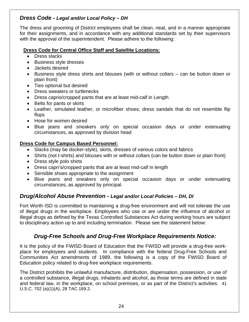#### <span id="page-23-0"></span>*Dress Code - Legal and/or Local Policy – [DH](http://www.tasb.org/policy/pol/private/220905/pol.cfm?DisplayPage=DH(LOCAL).html)*

The dress and grooming of District employees shall be clean, neat, and in a manner appropriate for their assignments, and in accordance with any additional standards set by their supervisors with the approval of the superintendent. Please adhere to the following:

#### **Dress Code for Central Office Staff and Satellite Locations:**

- Dress slacks
- Business style dresses
- Jackets desired
- Business style dress shirts and blouses (with or without collars can be button down or plain front)
- Ties optional but desired
- Dress sweaters or turtlenecks
- Dress capris/cropped pants that are at least mid-calf in Length
- Belts for pants or skirts
- Leather, simulated leather, or microfiber shoes; dress sandals that do not resemble flip flops
- Hose for women desired
- Blue jeans and sneakers only on special occasion days or under extenuating circumstances, as approved by division head

#### **Dress Code for Campus Based Personnel:**

- Slacks (may be docker-style), skirts, dresses of various colors and fabrics
- Shirts (not t-shirts) and blouses with or without collars (can be button down or plain front)
- Dress style polo shirts
- Dress capri's/cropped pants that are at least mid-calf in length
- Sensible shoes appropriate to the assignment
- Blue jeans and sneakers only on special occasion days or under extenuating circumstances, as approved by principal.

#### *Drug/Alcohol Abuse Prevention - Legal and/or Local Policies – [DH](http://www.tasb.org/policy/pol/private/220905/pol.cfm?DisplayPage=DH(LOCAL).html), [DI](http://www.tasb.org/policy/pol/private/220905/pol.cfm?DisplayPage=DI(LOCAL).html)*

Fort Worth ISD is committed to maintaining a drug-free environment and will not tolerate the use of illegal drugs in the workplace. Employees who use or are under the influence of alcohol or illegal drugs as defined by the Texas Controlled Substances Act during working hours are subject to disciplinary action up to and including termination. Please see the statement below:

#### *Drug-Free Schools and Drug-Free Workplace Requirements Notice:*

It is the policy of the FWISD Board of Education that the FWISD will provide a drug-free workplace for employees and students. In compliance with the federal Drug-Free Schools and Communities Act amendments of 1989, the following is a copy of the FWISD Board of Education policy related to drug-free workplace requirements.

The District prohibits the unlawful manufacture, distribution, dispensation, possession, or use of a controlled substance, illegal drugs, inhalants and alcohol, as those terms are defined in state and federal law, in the workplace, on school premises, or as part of the District's activities. 41 U.S.C. 702 (a)(1)(A); 28 TAC 169.2.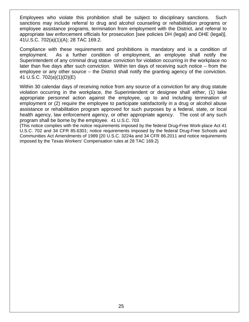Employees who violate this prohibition shall be subject to disciplinary sanctions. Such sanctions may include referral to drug and alcohol counseling or rehabilitation programs or employee assistance programs, termination from employment with the District, and referral to appropriate law enforcement officials for prosecution [see policies DH (legal) and DHE (legal)]. 41U.S.C. 702(a)(1)(A); 28 TAC 169.2.

Compliance with these requirements and prohibitions is mandatory and is a condition of employment. As a further condition of employment, an employee shall notify the Superintendent of any criminal drug statue conviction for violation occurring in the workplace no later than five days after such conviction. Within ten days of receiving such notice – from the employee or any other source – the District shall notify the granting agency of the conviction. 41 U.S.C. 702(a)(1)(D)(E)

Within 30 calendar days of receiving notice from any source of a conviction for any drug statute violation occurring in the workplace, the Superintendent or designee shall either, (1) take appropriate personnel action against the employee, up to and including termination of employment or (2) require the employee to participate satisfactorily in a drug or alcohol abuse assistance or rehabilitation program approved for such purposes by a federal, state, or local health agency, law enforcement agency, or other appropriate agency. The cost of any such program shall be borne by the employee. 41 U.S.C. 703

{This notice complies with the notice requirements imposed by the federal Drug-Free Work-place Act 41 U.S.C. 702 and 34 CFR 85.6301; notice requirements imposed by the federal Drug-Free Schools and Communities Act Amendments of 1989 [20 U.S.C. 3224a and 34 CFR 86.2011 and notice requirements imposed by the Texas Workers' Compensation rules at 28 TAC 169.2}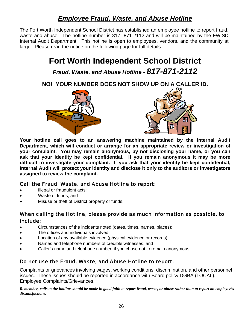## *Employee Fraud, Waste, and Abuse Hotline*

<span id="page-25-0"></span>The Fort Worth Independent School District has established an employee hotline to report fraud, waste and abuse. The hotline number is 817- 871-2112 and will be maintained by the FWISD Internal Audit Department. This hotline is open to employees, vendors, and the community at large. Please read the notice on the following page for full details.

## **Fort Worth Independent School District**

*Fraud, Waste, and Abuse Hotline - 817-871-2112* 

**NO! YOUR NUMBER DOES NOT SHOW UP ON A CALLER ID.** 





**Your hotline call goes to an answering machine maintained by the Internal Audit Department, which will conduct or arrange for an appropriate review or investigation of your complaint. You may remain anonymous, by not disclosing your name, or you can ask that your identity be kept confidential. If you remain anonymous it may be more difficult to investigate your complaint. If you ask that your identity be kept confidential, Internal Audit will protect your identity and disclose it only to the auditors or investigators assigned to review the complaint.** 

#### Call the Fraud, Waste, and Abuse Hotline to report:

- Illegal or fraudulent acts;
- Waste of funds; and
- Misuse or theft of District property or funds.

#### When calling the Hotline, please provide as much information as possible, to include:

- Circumstances of the incidents noted (dates, times, names, places);
- The offices and individuals involved;
- Location of any available evidence (physical evidence or records);
- Names and telephone numbers of credible witnesses; and
- Caller's name and telephone number, if you chose not to remain anonymous.

#### Do not use the Fraud, Waste, and Abuse Hotline to report:

Complaints or grievances involving wages, working conditions, discrimination, and other personnel issues. These issues should be reported in accordance with Board policy DGBA (LOCAL), Employee Complaints/Grievances.

*Remember, calls to the hotline should be made in good faith to report fraud, waste, or abuse rather than to report an employee's dissatisfactions.*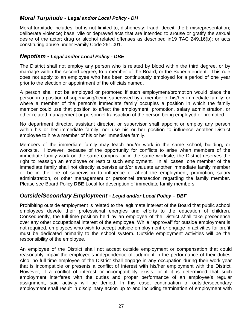#### <span id="page-26-0"></span>*Moral Turpitude - Legal and/or Local Policy - [DH](http://www.tasb.org/policy/pol/private/220905/pol.cfm?DisplayPage=DH(LOCAL).html)*

Moral turpitude includes, but is not limited to, dishonesty; fraud; deceit; theft; misrepresentation; deliberate violence; base, vile or depraved acts that are intended to arouse or gratify the sexual desire of the actor; drug or alcohol related offenses as described in19 TAC 249.16(b); or acts constituting abuse under Family Code 261.001.

#### *Nepotism - Legal and/or Local Policy - [DBE](http://www.tasb.org/policy/pol/private/220905/pol.cfm?DisplayPage=DBE(LOCAL).html)*

The District shall not employ any person who is related by blood within the third degree, or by marriage within the second degree, to a member of the Board, or the Superintendent. This rule does not apply to an employee who has been continuously employed for a period of one year prior to the election or appointment of the officials named.

A person shall not be employed or promoted if such employment/promotion would place the person in a position of supervising/being supervised by a member of his/her immediate family; or where a member of the person's immediate family occupies a position in which the family member could use that position to affect the employment, promotion, salary administration, or other related management or personnel transaction of the person being employed or promoted.

No department director, assistant director, or supervisor shall appoint or employ any person within his or her immediate family, nor use his or her position to influence another District employee to hire a member of his or her immediate family.

Members of the immediate family may teach and/or work in the same school, building, or worksite. However, because of the opportunity for conflicts to arise when members of the immediate family work on the same campus, or in the same worksite, the District reserves the right to reassign an employee or restrict such employment. In all cases, one member of the immediate family shall not directly supervise and/or evaluate another immediate family member or be in the line of supervision to influence or affect the employment, promotion, salary administration, or other management or personnel transaction regarding the family member. Please see Board Policy **[DBE](http://www.tasb.org/policy/pol/private/220905/pol.cfm?DisplayPage=DBE(LOCAL).html)** Local for description of immediate family members.

#### *Outside/Secondary Employment - Legal and/or Local Policy – [DBF](http://www.tasb.org/policy/pol/private/220905/pol.cfm?DisplayPage=DBF(LOCAL).html)*

Prohibiting outside employment is related to the legitimate interest of the Board that public school employees devote their professional energies and efforts to the education of children. Consequently, the full-time position held by an employee of the District shall take precedence over any other occupational interest of the employee. While "approval" for outside employment is not required, employees who wish to accept outside employment or engage in activities for profit must be dedicated primarily to the school system. Outside employment activities will be the responsibility of the employee.

An employee of the District shall not accept outside employment or compensation that could reasonably impair the employee's independence of judgment in the performance of their duties. Also, no full-time employee of the District shall engage in any occupation during their work year that is incompatible or presents a conflict of interest with his/her employment with the District. However, if a conflict of interest or incompatibility exists, or if it is determined that such employment interferes with the duties and proper performance of an employee's regular assignment, said activity will be denied. In this case, continuation of outside/secondary employment shall result in disciplinary action up to and including termination of employment with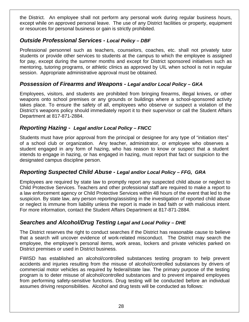<span id="page-27-0"></span>the District. An employee shall not perform any personal work during regular business hours, except while on approved personal leave. The use of any District facilities or property, equipment or resources for personal business or gain is strictly prohibited.

#### **Outside Professional Services - Local Policy - [DBF](http://www.tasb.org/policy/pol/private/220905/pol.cfm?DisplayPage=DBF(LOCAL).html)**

Professional personnel such as teachers, counselors, coaches, etc. shall not privately tutor students or provide other services to students at the campus to which the employee is assigned for pay, except during the summer months and except for District sponsored initiatives such as mentoring, tutoring programs, or athletic clinics as approved by UIL when school is not in regular session. Appropriate administrative approval must be obtained.

#### *Possession of Firearms and Weapons - Legal and/or Local Policy – [GKA](http://www.tasb.org/policy/pol/private/220905/pol.cfm?DisplayPage=GKA(LOCAL).html)*

Employees, visitors, and students are prohibited from bringing firearms, illegal knives, or other weapons onto school premises or any grounds or buildings where a school-sponsored activity takes place. To ensure the safety of all, employees who observe or suspect a violation of the District's weapons policy should immediately report it to their supervisor or call the Student Affairs Department at 817-871-2884.

#### *Reporting Hazing - Legal and/or Local Policy – [FNCC](http://www.tasb.org/policy/pol/private/220905/pol.cfm?DisplayPage=FNCC(LEGAL).html)*

Students must have prior approval from the principal or designee for any type of "initiation rites" of a school club or organization. Any teacher, administrator, or employee who observes a student engaged in any form of hazing, who has reason to know or suspect that a student intends to engage in hazing, or has engaged in hazing, must report that fact or suspicion to the designated campus discipline person.

#### *Reporting Suspected Child Abuse - Legal and/or Local Policy – [FFG](http://www.tasb.org/policy/pol/private/220905/pol.cfm?DisplayPage=FFG(LEGAL).html), [GRA](http://www.tasb.org/policy/pol/private/220905/pol.cfm?DisplayPage=GRA(LOCAL).html)*

Employees are required by state law to promptly report any suspected child abuse or neglect to Child Protective Services. Teachers and other professional staff are required to make a report to a law enforcement agency or Child Protective Services within 48 hours of the event that led to the suspicion. By state law, any person reporting/assisting in the investigation of reported child abuse or neglect is immune from liability unless the report is made in bad faith or with malicious intent. For more information, contact the Student Affairs Department at 817-871-2884.

#### *Searches and Alcohol/Drug Testing Legal and Local Policy – [DHE](http://www.tasb.org/policy/pol/private/220905/pol.cfm?DisplayPage=DHE(LOCAL).html)*

The District reserves the right to conduct searches if the District has reasonable cause to believe that a search will uncover evidence of work-related misconduct. The District may search the employee, the employee's personal items, work areas, lockers and private vehicles parked on District premises or used in District business.

FWISD has established an alcohol/controlled substances testing program to help prevent accidents and injuries resulting from the misuse of alcohol/controlled substances by drivers of commercial motor vehicles as required by federal/state law. The primary purpose of the testing program is to deter misuse of alcohol/controlled substances and to prevent impaired employees from performing safety-sensitive functions. Drug testing will be conducted before an individual assumes driving responsibilities. Alcohol and drug tests will be conducted as follows: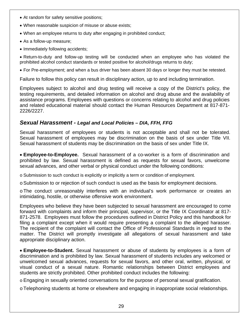- <span id="page-28-0"></span>• At random for safety sensitive positions;
- When reasonable suspicion of misuse or abuse exists;
- When an employee returns to duty after engaging in prohibited conduct;
- As a follow-up measure;
- Immediately following accidents;

• Return-to-duty and follow-up testing will be conducted when an employee who has violated the prohibited alcohol conduct standards or tested positive for alcohol/drugs returns to duty;

• For Pre-employment; and when a bus driver has been absent 30 days or longer they must be retested.

Failure to follow this policy can result in disciplinary action, up to and including termination.

Employees subject to alcohol and drug testing will receive a copy of the District's policy, the testing requirements, and detailed information on alcohol and drug abuse and the availability of assistance programs. Employees with questions or concerns relating to alcohol and drug policies and related educational material should contact the Human Resources Department at 817-871- 2226/2227.

#### *Sexual Harassment - Legal and Local Policies – [DIA,](http://www.tasb.org/policy/pol/private/220905/pol.cfm?DisplayPage=DIA(LOCAL).html) [FFH,](http://www.tasb.org/policy/pol/private/220905/pol.cfm?DisplayPage=FFH(LOCAL).html) [FFG](http://www.tasb.org/policy/pol/private/220905/pol.cfm?DisplayPage=FFG(LEGAL).html)*

Sexual harassment of employees or students is not acceptable and shall not be tolerated. Sexual harassment of employees may be discrimination on the basis of sex under Title VII. Sexual harassment of students may be discrimination on the basis of sex under Title IX.

• **Employee-to-Employee.** Sexual harassment of a co-worker is a form of discrimination and prohibited by law. Sexual harassment is defined as requests for sexual favors, unwelcome sexual advances, and other verbal or physical conduct under the following conditions:

o Submission to such conduct is explicitly or implicitly a term or condition of employment.

o Submission to or rejection of such conduct is used as the basis for employment decisions.

o The conduct unreasonably interferes with an individual's work performance or creates an intimidating, hostile, or otherwise offensive work environment.

Employees who believe they have been subjected to sexual harassment are encouraged to come forward with complaints and inform their principal, supervisor, or the Title IX Coordinator at 817- 871-2578. Employees must follow the procedures outlined in District Policy and this handbook for filing a complaint except when it would require presenting a complaint to the alleged harasser. The recipient of the complaint will contact the Office of Professional Standards in regard to the matter. The District will promptly investigate all allegations of sexual harassment and take appropriate disciplinary action.

• **Employee-to-Student.** Sexual harassment or abuse of students by employees is a form of discrimination and is prohibited by law. Sexual harassment of students includes any welcomed or unwelcomed sexual advances, requests for sexual favors, and other oral, written, physical, or visual conduct of a sexual nature. Romantic relationships between District employees and students are strictly prohibited. Other prohibited conduct includes the following:

o Engaging in sexually oriented conversations for the purpose of personal sexual gratification.

o Telephoning students at home or elsewhere and engaging in inappropriate social relationships.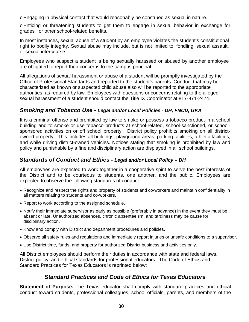<span id="page-29-0"></span>o Engaging in physical contact that would reasonably be construed as sexual in nature.

o Enticing or threatening students to get them to engage in sexual behavior in exchange for grades or other school-related benefits.

In most instances, sexual abuse of a student by an employee violates the student's constitutional right to bodily integrity. Sexual abuse may include, but is not limited to, fondling, sexual assault, or sexual intercourse.

Employees who suspect a student is being sexually harassed or abused by another employee are obligated to report their concerns to the campus principal.

All allegations of sexual harassment or abuse of a student will be promptly investigated by the Office of Professional Standards and reported to the student's parents. Conduct that may be characterized as known or suspected child abuse also will be reported to the appropriate authorities, as required by law. Employees with questions or concerns relating to the alleged sexual harassment of a student should contact the Title IX Coordinator at 817-871-2474.

#### *Smoking and Tobacco Use - Legal and/or Local Policies - [DH,](http://www.tasb.org/policy/pol/private/220905/pol.cfm?DisplayPage=DH(LOCAL).html) [FNCD,](http://www.tasb.org/policy/pol/private/220905/pol.cfm?DisplayPage=FNCD(LEGAL).html) [GKA](http://www.tasb.org/policy/pol/private/220905/pol.cfm?DisplayPage=GKA(LOCAL).html)*

It is a criminal offense and prohibited by law to smoke or possess a tobacco product in a school building and to smoke or use tobacco products at school-related, school-sanctioned, or schoolsponsored activities on or off school property. District policy prohibits smoking on all districtowned property. This includes all buildings, playground areas, parking facilities, athletic facilities, and while driving district-owned vehicles. Notices stating that smoking is prohibited by law and policy and punishable by a fine and disciplinary action are displayed in all school buildings.

#### **Standards of Conduct and Ethics - Legal and/or Local Policy – DH**

All employees are expected to work together in a cooperative spirit to serve the best interests of the District and to be courteous to students, one another, and the public. Employees are expected to observe the following standards of conduct:

- Recognize and respect the rights and property of students and co-workers and maintain confidentiality in all matters relating to students and co-workers.
- Report to work according to the assigned schedule.
- Notify their immediate supervisor as early as possible (preferably in advance) in the event they must be absent or late. Unauthorized absences, chronic absenteeism, and tardiness may be cause for disciplinary action.
- Know and comply with District and department procedures and policies.
- Observe all safety rules and regulations and immediately report injuries or unsafe conditions to a supervisor.
- Use District time, funds, and property for authorized District business and activities only.

All District employees should perform their duties in accordance with state and federal laws, District policy, and ethical standards for professional educators. The Code of Ethics and Standard Practices for Texas Educators is reprinted below:

#### *Standard Practices and Code of Ethics for Texas Educators*

**Statement of Purpose.** The Texas educator shall comply with standard practices and ethical conduct toward students, professional colleagues, school officials, parents, and members of the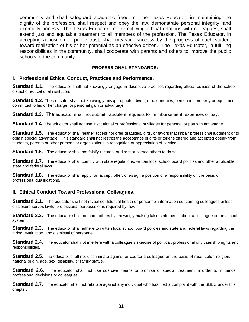community and shall safeguard academic freedom. The Texas Educator, in maintaining the dignity of the profession, shall respect and obey the law, demonstrate personal integrity, and exemplify honesty. The Texas Educator, in exemplifying ethical relations with colleagues, shall extend just and equitable treatment to all members of the profession. The Texas Educator, in accepting a position of public trust, shall measure success by the progress of each student toward realization of his or her potential as an effective citizen. The Texas Educator, in fulfilling responsibilities in the community, shall cooperate with parents and others to improve the public schools of the community.

#### **PROFESSIONAL STANDARDS:**

#### **I. Professional Ethical Conduct, Practices and Performance.**

**Standard 1.1.** The educator shall not knowingly engage in deceptive practices regarding official policies of the school district or educational institution.

**Standard 1.2.** The educator shall not knowingly misappropriate, divert, or use monies, personnel, property or equipment committed to his or her charge for personal gain or advantage.

**Standard 1.3.** The educator shall not submit fraudulent requests for reimbursement, expenses or pay.

**Standard 1.4.** The educator shall not use institutional or professional privileges for personal or partisan advantage.

**Standard 1.5.** The educator shall neither accept nor offer gratuities, gifts, or favors that impair professional judgment or to obtain special advantage. This standard shall not restrict the acceptance of gifts or tokens offered and accepted openly from students, parents or other persons or organizations in recognition or appreciation of service.

**Standard 1.6.** The educator shall not falsify records, or direct or coerce others to do so.

**Standard 1.7.** The educator shall comply with state regulations, written local school board policies and other applicable state and federal laws.

**Standard 1.8.** The educator shall apply for, accept, offer, or assign a position or a responsibility on the basis of professional qualifications.

#### **II. Ethical Conduct Toward Professional Colleagues.**

**Standard 2.1.** The educator shall not reveal confidential health or personnel information concerning colleagues unless disclosure serves lawful professional purposes or is required by law.

**Standard 2.2.** The educator shall not harm others by knowingly making false statements about a colleague or the school system.

**Standard 2.3.** The educator shall adhere to written local school board policies and state and federal laws regarding the hiring, evaluation, and dismissal of personnel.

Standard 2.4. The educator shall not interfere with a colleague's exercise of political, professional or citizenship rights and responsibilities.

**Standard 2.5.** The educator shall not discriminate against or coerce a colleague on the basis of race, color, religion, national origin, age, sex, disability, or family status.

Standard 2.6. The educator shall not use coercive means or promise of special treatment in order to influence professional decisions or colleagues.

**Standard 2.7.** The educator shall not retaliate against any individual who has filed a complaint with the SBEC under this chapter.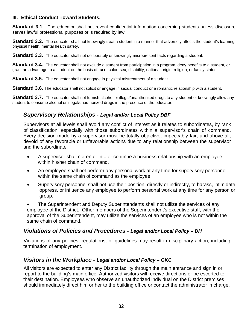#### <span id="page-31-0"></span>**III. Ethical Conduct Toward Students.**

**Standard 3.1.** The educator shall not reveal confidential information concerning students unless disclosure serves lawful professional purposes or is required by law.

**Standard 3.2.** The educator shall not knowingly treat a student in a manner that adversely affects the student's learning, physical health, mental health safety.

**Standard 3.3.** The educator shall not deliberately or knowingly misrepresent facts regarding a student.

**Standard 3.4.** The educator shall not exclude a student from participation in a program, deny benefits to a student, or grant an advantage to a student on the basis of race, color, sex, disability, national origin, religion, or family status.

**Standard 3.5.** The educator shall not engage in physical mistreatment of a student.

**Standard 3.6.** The educator shall not solicit or engage in sexual conduct or a romantic relationship with a student.

**Standard 3.7.** The educator shall not furnish alcohol or illegal/unauthorized drugs to any student or knowingly allow any student to consume alcohol or illegal/unauthorized drugs in the presence of the educator.

#### *Supervisory Relationships - Legal and/or Local Policy [DBF](http://www.tasb.org/policy/pol/private/220905/pol.cfm?DisplayPage=DBF(LOCAL).html)*

Supervisors at all levels shall avoid any conflict of interest as it relates to subordinates, by rank of classification, especially with those subordinates within a supervisor's chain of command. Every decision made by a supervisor must be totally objective, impeccably fair, and above all, devoid of any favorable or unfavorable actions due to any relationship between the supervisor and the subordinate.

- A supervisor shall not enter into or continue a business relationship with an employee within his/her chain of command.
- An employee shall not perform any personal work at any time for supervisory personnel within the same chain of command as the employee.
- Supervisory personnel shall not use their position, directly or indirectly, to harass, intimidate, oppress, or influence any employee to perform personal work at any time for any person or group.

• The Superintendent and Deputy Superintendents shall not utilize the services of any employee of the District. Other members of the Superintendent's executive staff, with the approval of the Superintendent, may utilize the services of an employee who is not within the same chain of command.

#### *Violations of Policies and Procedures - Legal and/or Local Policy – [DH](http://www.tasb.org/policy/pol/private/220905/pol.cfm?DisplayPage=DH(LOCAL).html)*

Violations of any policies, regulations, or guidelines may result in disciplinary action, including termination of employment.

#### *Visitors in the Workplace - Legal and/or Local Policy – [GKC](http://www.tasb.org/policy/pol/private/220905/pol.cfm?DisplayPage=GKC(LOCAL).html)*

All visitors are expected to enter any District facility through the main entrance and sign in or report to the building's main office. Authorized visitors will receive directions or be escorted to their destination. Employees who observe an unauthorized individual on the District premises should immediately direct him or her to the building office or contact the administrator in charge.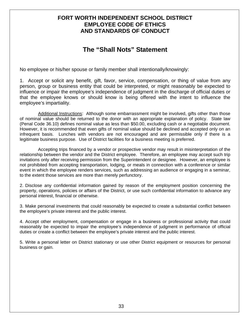#### <span id="page-32-0"></span>**FORT WORTH INDEPENDENT SCHOOL DISTRICT EMPLOYEE CODE OF ETHICS AND STANDARDS OF CONDUCT**

## **The "Shall Nots" Statement**

No employee or his/her spouse or family member shall intentionally/knowingly:

1. Accept or solicit any benefit, gift, favor, service, compensation, or thing of value from any person, group or business entity that could be interpreted, or might reasonably be expected to influence or impair the employee's independence of judgment in the discharge of official duties or that the employee knows or should know is being offered with the intent to influence the employee's impartiality.

 Additional Instructions: Although some embarrassment might be involved, gifts other than those of nominal value should be returned to the donor with an appropriate explanation of policy. State law (Penal Code 36.10) defines nominal value as less than \$50.00, excluding cash or a negotiable document. However, it is recommended that even gifts of nominal value should be declined and accepted only on an infrequent basis. Lunches with vendors are not encouraged and are permissible only if there is a legitimate business purpose. Use of District facilities for a business meeting is preferred.

 Accepting trips financed by a vendor or prospective vendor may result in misinterpretation of the relationship between the vendor and the District employee. Therefore, an employee may accept such trip invitations only after receiving permission from the Superintendent or designee. However, an employee is not prohibited from accepting transportation, lodging, or meals in connection with a conference or similar event in which the employee renders services, such as addressing an audience or engaging in a seminar, to the extent those services are more than merely perfunctory.

2. Disclose any confidential information gained by reason of the employment position concerning the property, operations, policies or affairs of the District, or use such confidential information to advance any personal interest, financial or otherwise.

3. Make personal investments that could reasonably be expected to create a substantial conflict between the employee's private interest and the public interest.

4. Accept other employment, compensation or engage in a business or professional activity that could reasonably be expected to impair the employee's independence of judgment in performance of official duties or create a conflict between the employee's private interest and the public interest.

5. Write a personal letter on District stationary or use other District equipment or resources for personal business or gain.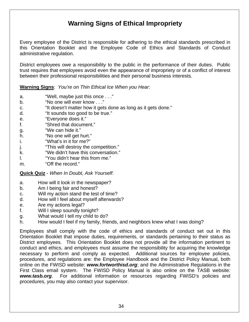## **Warning Signs of Ethical Impropriety**

<span id="page-33-0"></span>Every employee of the District is responsible for adhering to the ethical standards prescribed in this Orientation Booklet and the Employee Code of Ethics and Standards of Conduct administrative regulation.

District employees owe a responsibility to the public in the performance of their duties. Public trust requires that employees avoid even the appearance of impropriety or of a conflict of interest between their professional responsibilities and their personal business interests.

**Warning Signs**: *You're on Thin Ethical Ice When you Hear*:

- a. "Well, maybe just this once . . ."
- b. "No one will ever know . . ."
- c. "It doesn't matter how it gets done as long as it gets done."
- d. "It sounds too good to be true."
- e. "Everyone does it."
- f. "Shred that document."
- g. "We can hide it."
- h. "No one will get hurt."
- i. "What's in it for me?"
- j. **This will destroy the competition.**"
- k. "We didn't have this conversation."
- l. "You didn't hear this from me."
- m. "Off the record."

**Quick Quiz** - *When In Doubt, Ask Yourself*:

- a. How will it look in the newspaper?
- b. Am I being fair and honest?
- c. Will my action stand the test of time?
- d. How will I feel about myself afterwards?
- e. Are my actions legal?
- f. Will I sleep soundly tonight?
- g. What would I tell my child to do?
- h. How would I feel if my family, friends, and neighbors knew what I was doing?

Employees shall comply with the code of ethics and standards of conduct set out in this Orientation Booklet that impose duties, requirements, or standards pertaining to their status as District employees. This Orientation Booklet does not provide all the information pertinent to conduct and ethics, and employees must assume the responsibility for acquiring the knowledge necessary to perform and comply as expected. Additional sources for employee policies, procedures, and regulations are: the Employee Handbook and the District Policy Manual, both online on the FWISD website: *[www.fortworthisd.org](http://www.fortworthisd.org/)*; and the Administrative Regulations in the First Class email system. The FWISD Policy Manual is also online on the TASB website: *[www.tasb.org](http://www.tasb.org/)*. For additional information or resources regarding FWISD's policies and procedures, you may also contact your supervisor.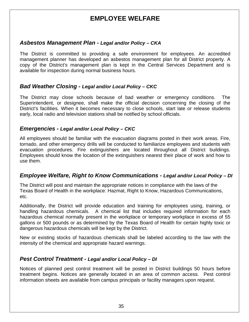## **EMPLOYEE WELFARE**

#### <span id="page-34-0"></span>*Asbestos Management Plan - Legal and/or Policy – [CKA](http://www.tasb.org/policy/pol/private/220905/pol.cfm?DisplayPage=CKA(LEGAL).html)*

The District is committed to providing a safe environment for employees. An accredited management planner has developed an asbestos management plan for all District property. A copy of the District's management plan is kept in the Central Services Department and is available for inspection during normal business hours.

#### *Bad Weather Closing - Legal and/or Local Policy – [CKC](http://www.tasb.org/policy/pol/private/220905/pol.cfm?DisplayPage=CKC(LOCAL).html)*

The District may close schools because of bad weather or emergency conditions. The Superintendent, or designee, shall make the official decision concerning the closing of the District's facilities. When it becomes necessary to close schools, start late or release students early, local radio and television stations shall be notified by school officials.

#### *Emergencies - Legal and/or Local Policy – [CKC](http://www.tasb.org/policy/pol/private/220905/pol.cfm?DisplayPage=CKC(LOCAL).html)*

All employees should be familiar with the evacuation diagrams posted in their work areas. Fire, tornado, and other emergency drills will be conducted to familiarize employees and students with evacuation procedures. Fire extinguishers are located throughout all District buildings. Employees should know the location of the extinguishers nearest their place of work and how to use them.

#### *Employee Welfare, Right to Know Communications - Legal and/or Local Policy – DI*

The District will post and maintain the appropriate notices in compliance with the laws of the Texas Board of Health in the workplace: Hazmat, Right to Know, Hazardous Communications, etc.

Additionally, the District will provide education and training for employees using, training, or handling hazardous chemicals. A chemical list that includes required information for each hazardous chemical normally present in the workplace or temporary workplace in excess of 55 gallons or 500 pounds or as determined by the Texas Board of Health for certain highly toxic or dangerous hazardous chemicals will be kept by the District.

New or existing stocks of hazardous chemicals shall be labeled according to the law with the intensity of the chemical and appropriate hazard warnings.

#### *Pest Control Treatment - Legal and/or Local Policy – [DI](http://www.tasb.org/policy/pol/private/220905/pol.cfm?DisplayPage=DI(LOCAL).html)*

Notices of planned pest control treatment will be posted in District buildings 50 hours before treatment begins. Notices are generally located in an area of common access. Pest control information sheets are available from campus principals or facility managers upon request.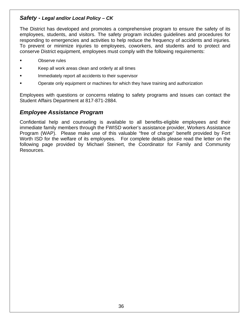#### <span id="page-35-0"></span>*Safety - Legal and/or Local Policy – [CK](http://www.tasb.org/policy/pol/private/220905/pol.cfm?DisplayPage=CK(LOCAL).html)*

The District has developed and promotes a comprehensive program to ensure the safety of its employees, students, and visitors. The safety program includes guidelines and procedures for responding to emergencies and activities to help reduce the frequency of accidents and injuries. To prevent or minimize injuries to employees, coworkers, and students and to protect and conserve District equipment, employees must comply with the following requirements:

- Observe rules
- Keep all work areas clean and orderly at all times
- Immediately report all accidents to their supervisor
- Operate only equipment or machines for which they have training and authorization

Employees with questions or concerns relating to safety programs and issues can contact the Student Affairs Department at 817-871-2884.

#### *Employee Assistance Program*

Confidential help and counseling is available to all benefits-eligible employees and their immediate family members through the FWISD worker's assistance provider, Workers Assistance Program (WAP). Please make use of this valuable "free of charge" benefit provided by Fort Worth ISD for the welfare of its employees. For complete details please read the letter on the following page provided by Michael Steinert, the Coordinator for Family and Community Resources.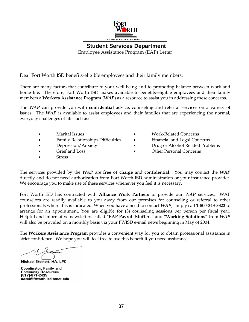

**Student Services Department**  Employee Assistance Program (EAP) Letter

Dear Fort Worth ISD benefits-eligible employees and their family members:

There are many factors that contribute to your well-being and to promoting balance between work and home life. Therefore, Fort Worth ISD makes available to benefits-eligible employees and their family members a **Workers Assistance Program (***WAP***)** as a resource to assist you in addressing these concerns.

The *WAP* can provide you with **confidential** advice, counseling and referral services on a variety of issues. The *WAP* is available to assist employees and their families that are experiencing the normal, everyday challenges of life such as:

- 
- 
- 
- 
- **Stress**

• Marital Issues • Work-Related Concerns Family Relationships Difficulties  $\qquad \qquad$  Financial and Legal Concerns • Depression/Anxiety • Drug or Alcohol Related Problems • Grief and Loss • Other Personal Concerns

The services provided by the *WAP* are **free of charge** and **confidential**. You may contact the *WAP* directly and do not need authorization from Fort Worth ISD administration or your insurance provider. We encourage you to make use of these services whenever you feel it is necessary.

Fort Worth ISD has contracted with **Alliance Work Partners** to provide our *WAP* services. WAP counselors are readily available to you away from our premises for counseling or referral to other professionals where this is indicated. When you have a need to contact *WAP*, simply call **1-800-343-3822** to arrange for an appointment. You are eligible for (3) counseling sessions per person per fiscal year. Helpful and informative newsletters called **"EAP Payroll Stuffers"** and **"Working Solutions"** from *WAP* will also be provided on a monthly basis via your FWISD e-mail news beginning in May of 2004.

The **Workers Assistance Program** provides a convenient way for you to obtain professional assistance in strict confidence. We hope you will feel free to use this benefit if you need assistance.

Michael Steinert, MA, LPC

Coordinator, Family and **Community Resources** (817)-871-2495 mstei@ftworth.isd.tenet.edu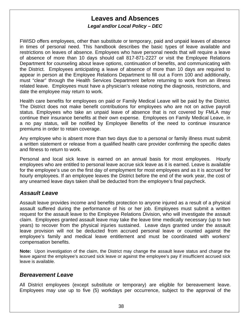#### **Leaves and Absences**  *Legal and/or Local Policy – [DEC](http://www.tasb.org/policy/pol/private/220905/pol.cfm?DisplayPage=DEC(LOCAL).html)*

<span id="page-37-0"></span>FWISD offers employees, other than substitute or temporary, paid and unpaid leaves of absence in times of personal need. This handbook describes the basic types of leave available and restrictions on leaves of absence. Employees who have personal needs that will require a leave of absence of more than 10 days should call 817-871-2227 or visit the Employee Relations Department for counseling about leave options, continuation of benefits, and communicating with the District. Employees anticipating a leave of absence of more than 10 days are required to appear in person at the Employee Relations Department to fill out a Form 100 and additionally, must "clear" through the Health Services Department before returning to work from an illness related leave. Employees must have a physician's release noting the diagnosis, restrictions, and date the employee may return to work.

Health care benefits for employees on paid or Family Medical Leave will be paid by the District. The District does not make benefit contributions for employees who are not on active payroll status. Employees who take an unpaid leave of absence that is not covered by FMLA may continue their insurance benefits at their own expense. Employees on Family Medical Leave, in a no pay status, will be notified by Employee Benefits of the need to continue insurance premiums in order to retain coverage.

Any employee who is absent more than two days due to a personal or family illness must submit a written statement or release from a qualified health care provider confirming the specific dates and fitness to return to work.

Personal and local sick leave is earned on an annual basis for most employees. Hourly employees who are entitled to personal leave accrue sick leave as it is earned. Leave is available for the employee's use on the first day of employment for most employees and as it is accrued for hourly employees. If an employee leaves the District before the end of the work year, the cost of any unearned leave days taken shall be deducted from the employee's final paycheck.

#### *Assault Leave*

Assault leave provides income and benefits protection to anyone injured as a result of a physical assault suffered during the performance of his or her job. Employees must submit a written request for the assault leave to the Employee Relations Division, who will investigate the assault claim. Employees granted assault leave may take the leave time medically necessary (up to two years) to recover from the physical injuries sustained. Leave days granted under the assault leave provision will not be deducted from accrued personal leave or counted against the employee's family and medical leave entitlement and must be coordinated with workers' compensation benefits.

**Note:** Upon investigation of the claim, the District may change the assault leave status and charge the leave against the employee's accrued sick leave or against the employee's pay if insufficient accrued sick leave is available.

#### *Bereavement Leave*

All District employees (except substitute or temporary) are eligible for bereavement leave. Employees may use up to five (5) workdays per occurrence, subject to the approval of the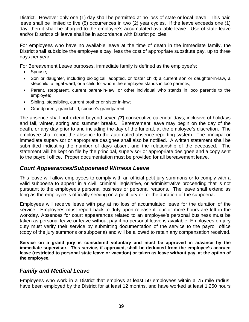<span id="page-38-0"></span>District. However only one (1) day shall be permitted at no loss of state or local leave. This paid leave shall be limited to five (5) occurrences in two (2) year cycles. If the leave exceeds one (1) day, then it shall be charged to the employee's accumulated available leave. Use of state leave and/or District sick leave shall be in accordance with District policies.

For employees who have no available leave at the time of death in the immediate family, the District shall subsidize the employee's pay, less the cost of appropriate substitute pay, up to three days per year.

For Bereavement Leave purposes, immediate family is defined as the employee's:

- Spouse;
- Son or daughter, including biological, adopted, or foster child; a current son or daughter-in-law, a stepchild, a legal ward, or a child for whom the employee stands in loco parentis;
- Parent, stepparent, current parent-in-law, or other individual who stands in loco parentis to the employee;
- Sibling, stepsibling, current brother or sister in-law;
- Grandparent, grandchild, spouse's grandparent*.*

The absence shall not extend beyond seven *(7)* consecutive calendar days; inclusive of holidays and fall, winter, spring and summer breaks. Bereavement leave may begin on the day of the death, or any day prior to and including the day of the funeral, at the employee's discretion. The employee shall report the absence to the automated absence reporting system. The principal or immediate supervisor or appropriate designee shall also be notified. A written statement shall be submitted indicating the number of days absent and the relationship of the deceased. The statement will be kept on file by the principal, supervisor or appropriate designee and a copy sent to the payroll office. Proper documentation must be provided for all bereavement leave.

#### *Court Appearances/Subpoenaed Witness Leave*

This leave will allow employees to comply with an official petit jury summons or to comply with a valid subpoena to appear in a civil, criminal, legislative, or administrative proceeding that is not pursuant to the employee's personal business or personal reasons. The leave shall extend as long as the employee is officially serving on a petit jury or for the duration of the subpoena.

Employees will receive leave with pay at no loss of accumulated leave for the duration of the service. Employees must report back to duty upon release if four or more hours are left in the workday. Absences for court appearances related to an employee's personal business must be taken as personal leave or leave without pay if no personal leave is available. Employees on jury duty must verify their service by submitting documentation of the service to the payroll office (copy of the jury summons or subpoena) and will be allowed to retain any compensation received.

**Service on a grand jury is considered voluntary and must be approved in advance by the immediate supervisor. This service, if approved, shall be deducted from the employee's accrued leave (restricted to personal state leave or vacation) or taken as leave without pay, at the option of the employee.** 

#### *Family and Medical Leave*

Employees who work in a District that employs at least 50 employees within a 75 mile radius, have been employed by the District for at least 12 months, and have worked at least 1,250 hours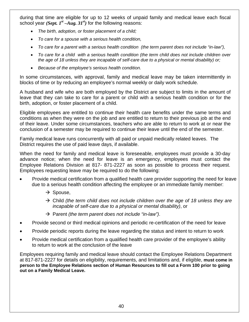during that time are eligible for up to 12 weeks of unpaid family and medical leave each fiscal school year *(Sept.*  $I^{st}$  *–Aug.* 31<sup>st</sup>) for the following reasons:

- *The birth, adoption, or foster placement of a child;*
- *To care for a spouse with a serious health condition,*
- *To care for a parent with a serious health condition (the term parent does not include "in-law"),*
- *To care for a child with a serious health condition (the term child does not include children over the age of 18 unless they are incapable of self-care due to a physical or mental disability) or;*
- *Because of the employee's serious health condition.*

In some circumstances, with approval, family and medical leave may be taken intermittently in blocks of time or by reducing an employee's normal weekly or daily work schedule.

A husband and wife who are both employed by the District are subject to limits in the amount of leave that they can take to care for a parent or child with a serious health condition or for the birth, adoption, or foster placement of a child.

Eligible employees are entitled to continue their health care benefits under the same terms and conditions as when they were on the job and are entitled to return to their previous job at the end of their leave. Under some circumstances, teachers who are able to return to work at or near the conclusion of a semester may be required to continue their leave until the end of the semester.

Family medical leave runs concurrently with all paid or unpaid medically related leaves. The District requires the use of paid leave days, if available.

When the need for family and medical leave is foreseeable, employees must provide a 30-day advance notice; when the need for leave is an emergency, employees must contact the Employee Relations Division at 817- 871-2227 as soon as possible to process their request. Employees requesting leave may be required to do the following:

- Provide medical certification from a qualified health care provider supporting the need for leave due to a serious health condition affecting the employee or an immediate family member:
	- $\rightarrow$  Spouse,
	- $\rightarrow$  Child *(the term child does not include children over the age of 18 unless they are incapable of self-care due to a physical or mental disability)*, or
	- $\rightarrow$  Parent *(the term parent does not include "in-law")*.
- Provide second or third medical opinions and periodic re-certification of the need for leave
- Provide periodic reports during the leave regarding the status and intent to return to work
- Provide medical certification from a qualified health care provider of the employee's ability to return to work at the conclusion of the leave

Employees requiring family and medical leave should contact the Employee Relations Department at 817-871-2227 for details on eligibility, requirements, and limitations and, if eligible, **must come in person to the Employee Relations section of Human Resources to fill out a Form 100 prior to going out on a Family Medical Leave.**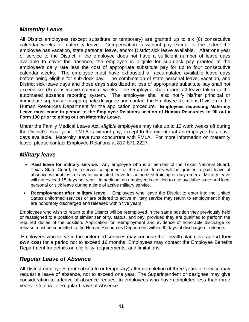#### <span id="page-40-0"></span>*Maternity Leave*

All District employees (except substitute or temporary) are granted up to six (6) consecutive calendar weeks of maternity leave. Compensation is without pay except to the extent the employee has vacation, state personal leave, and/or District sick leave available. After one year of service to the District, if the employee does not have a sufficient number of leave days available to cover the absence, the employee is eligible for sub-dock pay granted at the employee's daily rate less the cost of appropriate substitute pay for up to four consecutive calendar weeks. The employee must have exhausted all accumulated available leave days before being eligible for sub-dock pay. The combination of state personal leave, vacation, and District sick leave days and those days subsidized at loss of appropriate substitute pay shall not exceed six (6) consecutive calendar weeks. The employee shall report all leave taken to the automated absence reporting system. The employee shall also notify his/her principal or immediate supervisor or appropriate designee and contact the Employee Relations Division in the Human Resources Department for the application procedure. **Employees requesting Maternity Leave must come in person to the Employee Relations section of Human Resources to fill out a Form 100 prior to going out on Maternity Leave.** 

Under the Family Medical Leave Act, *eligible* employees may take up to 12 work weeks off during the District's fiscal year. FMLA is without pay, except to the extent that an employee has leave days available. Maternity leave runs concurrent with FMLA. For more information on maternity leave, please contact Employee Relations at 817-871-2227.

#### *Military leave*

- • **Paid leave for military service.** Any employee who is a member of the Texas National Guard, Texas State Guard, or reserves component of the armed forces will be granted a paid leave of absence without loss of any accumulated leave for authorized training or duty orders. Military leave will not exceed 15 days per year. In addition, an employee is entitled to use available state and local personal or sick leave during a time of active military service.
- • **Reemployment after military leave.** Employees who leave the District to enter into the United States uniformed services or are ordered to active military service may return to employment if they are honorably discharged and released within five years.

Employees who wish to return to the District will be reemployed in the same position they previously held or reassigned to a position of similar seniority, status, and pay, provided they are qualified to perform the required duties of the position. Application for reemployment and evidence of honorable discharge or release must be submitted to the Human Resources Department within 90 days of discharge or release.

 Employees who serve in the uniformed services may continue their health plan coverage **at their own cost** for a period not to exceed 18 months. Employees may contact the Employee Benefits Department for details on eligibility, requirements, and limitations.

#### *Regular Leave of Absence*

All District employees (not substitute or temporary) after completion of three years of service may request a leave of absence, not to exceed one year. The Superintendent or designee may give consideration to a leave of absence request to employees who have completed less than three years. Criteria for Regular Leave of Absence: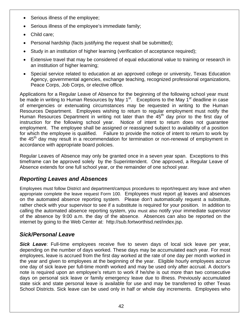- <span id="page-41-0"></span>• Serious illness of the employee;
- Serious illness of the employee's immediate family;
- Child care;
- Personal hardship (facts justifying the request shall be submitted);
- Study in an institution of higher learning (verification of acceptance required);
- Extensive travel that may be considered of equal educational value to training or research in an institution of higher learning;
- Special service related to education at an approved college or university, Texas Education Agency, governmental agencies, exchange teaching, recognized professional organizations, Peace Corps, Job Corps, or elective office.

Applications for a Regular Leave of Absence for the beginning of the following school year must be made in writing to Human Resources by May  $1<sup>st</sup>$ . Exceptions to the May  $1<sup>st</sup>$  deadline in case of emergencies or extenuating circumstances may be requested in writing to the Human Resources Department. Employees wishing to return to regular employment must notify the Human Resources Department in writing not later than the  $45<sup>th</sup>$  day prior to the first day of instruction for the following school year. Notice of intent to return does not guarantee employment. The employee shall be assigned or reassigned subject to availability of a position for which the employee is qualified. Failure to provide the notice of intent to return to work by the  $45<sup>th</sup>$  day may result in a recommendation for termination or non-renewal of employment in accordance with appropriate board policies.

Regular Leaves of Absence may only be granted once in a seven year span. Exceptions to this timeframe can be approved solely by the Superintendent. One approved, a Regular Leave of Absence extends for one full school year, or the remainder of one school year.

#### *Reporting Leaves and Absences*

Employees must follow District and department/campus procedures to report/request any leave and when appropriate complete the leave request Form 100.Employees must report all leaves and absences on the automated absence reporting system. Please don't automatically request a substitute, rather check with your supervisor to see if a substitute is required for your position. In addition to calling the automated absence reporting system, you must also notify your immediate supervisor of the absence by 9:00 a.m. the day of the absence. Absences can also be reported on the internet by going to the Web Center at: [http://sub.fortworthisd.net/index.jsp.](http://sub.fortworthisd.net/index.jsp)

#### *Sick/Personal Leave*

**Sick Leave**: Full-time employees receive five to seven days of local sick leave per year, depending on the number of days worked. These days may be accumulated each year. For most employees, leave is accrued from the first day worked at the rate of one day per month worked in the year and given to employees at the beginning of the year. Eligible hourly employees accrue one day of sick leave per full-time month worked and may be used only after accrual. A doctor's note is required upon an employee's return to work if he/she is out more than two consecutive days on personal sick leave or family emergency leave due to illness. Previously accumulated state sick and state personal leave is available for use and may be transferred to other Texas School Districts. Sick leave can be used only in half or whole day increments. Employees who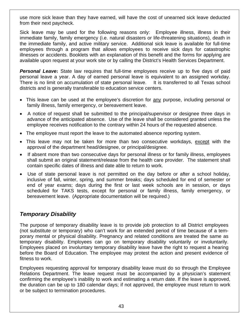<span id="page-42-0"></span>use more sick leave than they have earned, will have the cost of unearned sick leave deducted from their next paycheck.

Sick leave may be used for the following reasons only: Employee illness, illness in their immediate family, family emergency (i.e. natural disasters or life-threatening situations), death in the immediate family, and active military service. Additional sick leave is available for full-time employees through a program that allows employees to receive sick days for catastrophic illnesses or accidents. Booklets with an explanation of this benefit and the forms for applying are available upon request at your work site or by calling the District's Health Services Department.

**Personal Leave:** State law requires that full-time employees receive up to five days of paid personal leave a year. A day of earned personal leave is equivalent to an assigned workday. There is no limit on accumulation of state personal leave. It is transferred to all Texas school districts and is generally transferable to education service centers.

- This leave can be used at the employee's discretion for any purpose, including personal or family illness, family emergency, or bereavement leave.
- A notice of request shall be submitted to the principal/supervisor or designee three days in advance of the anticipated absence. Use of the leave shall be considered granted unless the employee receives notification to the contrary within 24 hours of the requested absence.
- The employee must report the leave to the automated absence reporting system.
- This leave may not be taken for more than two consecutive workdays, except with the approval of the department head/designee, or principal/designee.
- If absent more than two consecutive days for personal illness or for family illness, employees shall submit an original statement/release from the health care provider. The statement shall contain specific dates of illness and date able to return to work.
- Use of state personal leave is not permitted on the day before or after a school holiday, inclusive of fall, winter, spring, and summer breaks; days scheduled for end of semester or end of year exams; days during the first or last week schools are in session, or days scheduled for TAKS tests, except for personal or family illness, family emergency, or bereavement leave.(Appropriate documentation will be required.)

#### *Temporary Disability*

The purpose of temporary disability leave is to provide job protection to all District employees (not substitute or temporary) who can't work for an extended period of time because of a temporary mental or physical disability. Pregnancy and related conditions are treated the same as temporary disability. Employees can go on temporary disability voluntarily or involuntarily. Employees placed on involuntary temporary disability leave have the right to request a hearing before the Board of Education. The employee may protest the action and present evidence of fitness to work.

Employees requesting approval for temporary disability leave must do so through the Employee Relations Department. The leave request must be accompanied by a physician's statement confirming the employee's inability to work and estimating a return date. If the leave is approved, the duration can be up to 180 calendar days; if not approved, the employee must return to work or be subject to termination procedures.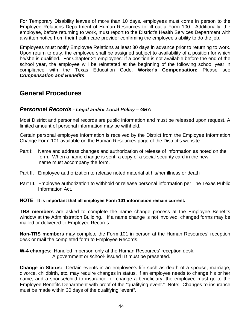<span id="page-43-0"></span>For Temporary Disability leaves of more than 10 days, employees must come in person to the Employee Relations Department of Human Resources to fill out a Form 100. Additionally, the employee, before returning to work, must report to the District's Health Services Department with a written notice from their health care provider confirming the employee's ability to do the job.

Employees must notify Employee Relations at least 30 days in advance prior to returning to work. Upon return to duty, the employee shall be assigned subject to availability of a position for which he/she is qualified. For Chapter 21 employees: if a position is not available before the end of the school year, the employee will be reinstated at the beginning of the following school year in compliance with the Texas Education Code. **Worker's Compensation:** Please see *[Compensation and Benefits](#page-12-1)*.

## **General Procedures**

#### *Personnel Records - Legal and/or Local Policy – [GBA](http://www.tasb.org/policy/pol/private/220905/pol.cfm?DisplayPage=GBA(LOCAL).html)*

Most District and personnel records are public information and must be released upon request. A limited amount of personal information may be withheld.

Certain personal employee information is received by the District from the [Employee Information](http://www.fortworthisd.org/hr/hr_form101.pdf)  [Change Form 101](http://www.fortworthisd.org/hr/hr_form101.pdf) available on the Human Resources page of the District's website.

- Part I: Name and address changes and authorization of release of information as noted on the form. When a name change is sent, a copy of a social security card in the new name must accompany the form.
- Part II. Employee authorization to release noted material at his/her illness or death
- Part III. Employee authorization to withhold or release personal information per The Texas Public Information Act.

**NOTE**: **It is important that all employee Form 101 information remain current.**

**TRS members** are asked to complete the name change process at the Employee Benefits window at the Administration Building. If a name change is not involved, changed forms may be mailed or delivered to Employee Records.

**Non-TRS members** may complete the Form 101 in person at the Human Resources' reception desk or mail the completed form to Employee Records.

**W-4 changes**: Handled in person only at the Human Resources' reception desk. A government or school- issued ID must be presented.

**Change in Status:** Certain events in an employee's life such as death of a spouse, marriage, divorce, childbirth, etc. may require changes in status. If an employee needs to change his or her name, add a spouse/child to insurance, or change a beneficiary, the employee must go to the Employee Benefits Department with proof of the "qualifying event." Note: Changes to insurance must be made within 30 days of the qualifying "event".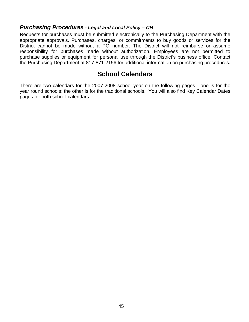#### <span id="page-44-0"></span>*Purchasing Procedures - Legal and Local Policy – [CH](http://www.tasb.org/policy/pol/private/220905/pol.cfm?DisplayPage=CH(LOCAL).html)*

Requests for purchases must be submitted electronically to the Purchasing Department with the appropriate approvals. Purchases, charges, or commitments to buy goods or services for the District cannot be made without a PO number. The District will not reimburse or assume responsibility for purchases made without authorization. Employees are not permitted to purchase supplies or equipment for personal use through the District's business office. Contact the Purchasing Department at 817-871-2156 for additional information on purchasing procedures.

## **School Calendars**

There are two calendars for the 2007-2008 school year on the following pages - one is for the year round schools; the other is for the traditional schools. You will also find Key Calendar Dates pages for both school calendars.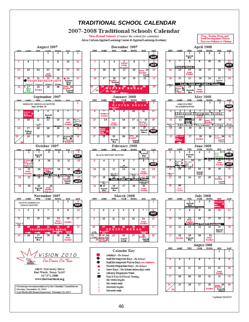<span id="page-45-0"></span>

Updated: 02/22/07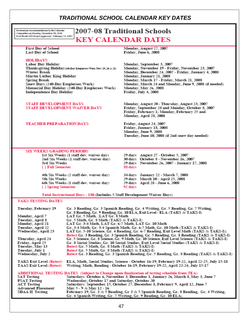#### *TRADITIONAL SCHOOL CALENDAR KEY DATES*

<span id="page-46-0"></span>Revised per recommendations by the Calendar Committee on Monday, December 18, 2006 Fort Worth ISD Board Approved: February 13, 2007

## 2007-08 Traditional Schools **KEY CALENDAR DATES**

**First Day of School Last Day of School** 

#### **HOLIDAYS**

**Labor Day Holiday** Thanksgiving Holiday (240-Day Engloyees Work Nov. 19, 20 & 21) **Winter Break** Martin Luther King Holiday **Spring Break** Snow Days (240-Day Employees Work) Memorial Day Holiday (240-Day Employees Work) **Independence Day Holiday** 

**STAFF DEVELOPMENT DAYS** STAFF DEVELOPMENT WAIVER DAYS

#### **TEACHER PREPARATION DAYS**

Monday, August 27, 2007 Friday, June 6, 2008

Monday, September 3, 2007 Monday, November 19 - Friday, November 23, 2007 Monday, December 24, 2007 - Friday, January 4, 2008 Monday, January 21, 2008 Monday, March 17 - Friday, March 21, 2008 Monday, March 24 and Monday, June 9, 2008 (if needed) Monday, May 26, 2008 Friday, July 4, 2008

Monday, August 20 - Thursday, August 23, 2007 Friday, September 28 and Monday, October 8, 2007 Friday, February 1; Monday, February 25 and Monday, April 28, 2008

Friday, August 24, 2007 Friday, January 18, 2008 Monday, June 9, 2008 Tuesday, June 10, 2008 (if 2nd snow day needed)

#### **SIX WEEKS GRADING PERIODS**

1st Six Weeks (1 staff dev. waiver day) 2nd Six Weeks (1 staff dev. waiver day) 3rd Six Weeks { } Fall Semester

4th Six Weeks (2 staff dev. waiver day) 5th Six Weeks 6th Six Weeks (1 staff dev. waiver day) { } Spring Semester

30 days October 8 - November 16, 2007 29 days November 26, 2007 - January 17, 2008 88 days 34 days January 22 - March 7, 2008 29 days March 10 - April 25, 2008 29 days April 28 - June 6, 2008 92 days

29 days August 27 - October 5, 2007

Total Instructional Days - 180 (Includes 5 Staff Development Waiver Days)

#### **TAKS TESTING DATES**

| Tuesday, February 19            | Gr. 3 Reading, Gr. 3 Spanish Reading, Gr. 4 Writing, Gr. 5 Reading, Gr. 7 Writing,           |
|---------------------------------|----------------------------------------------------------------------------------------------|
|                                 | Gr. 8 Reading, Gr. 9 Reading, Gr. 10 ELA, Exit Level - ELA (TAKS & TAKS-I)                   |
| Monday, April 7                 | LAT Gr. 5 Math. :LAT Gr. 8 Math                                                              |
| Tuesday, April 8                | Gr. 5 Math, Gr. 8 Math (TAKS & TAKS-I)                                                       |
| Monday, April 21                | LAT Gr. 3-4 Math, LAT Gr. 6-7 Math, LAT Gr. 10 Math                                          |
| Tuesday, April 22               | Gr. 3-4 Math, Gr. 3-4 Spanish Math, Gr. 6-7 Math, Gr. 10 Math (TAKS & TAKS-I)                |
| Wednesday, April 23             | LAT Gr. 5-10 Science, Gr. 4 Reading, Gr. 6-7 Reading, Exit Level Math (TAKS & TAKS-I);       |
|                                 | Retest Gr. 3 Reading, Gr. 3 Spanish Reading, Gr. 5 Reading, Gr. 8 Reading (TAKS & TAKS-I)    |
| Thursday, April 24              | Gr. 5 Science, Gr. 8 Science, Gr. 9 Math, Gr. 10 Science, Exit Level Science (TAKS & TAKS-I) |
| Friday, April 25                | Gr. 8 Social Studies, Gr. 10 Social Studies, Exit Level Social Studies (TAKS & TAKS-I)       |
| Tuesday, May 13                 | Retest Gr. 5 Math, Gr. 8 Math (TAKS & TAKS-I)                                                |
| Tuesday, July 1                 | Retest Gr. 5 Math, Gr. 8 Math (TAKS & TAKS-I)                                                |
| Wednesday, July 2               | Retest Gr. 3 Reading, Gr. 3 Spanish Reading, Gr. 5 Reading, Gr. 8 Reading (TAKS & TAKS-I)    |
| <b>TAKS Exit Level (Retest)</b> | ELA, Math, Social Studies, Science - October 16-19, February 19-22, April 22-25, July 15-18  |
| <b>TAAS Exit Level (Retest)</b> | Writing, Math, Reading - October 16-19, February 19-22, April 22-24, July 15-17              |
|                                 | ADDITIONAL TESTING DATES (Subject to Change upon finalization of testing schedule from TEA)  |
| <b>SAT Testing</b>              | Saturdays: October 6, November 3, December 1, January 26, March 8, May 3, June 7             |
| <b>PSAT Testing</b>             | Wednesday, October 17 and Saturday, October 20                                               |
| <b>ACT Testing</b>              | Saturdays: September 15, October 27, December 8, February 9, April 12, June 7                |
| <b>Advanced Placement</b>       | May 5 - 9 & May 12 - 16                                                                      |
| SDAA II Testing                 | February 19, Gr. 3 & 5 Reading, Gr 3 & 5 Spanish Reading, Gr. 8 Reading, Gr. 4 Writing,      |
|                                 | Gr. 4 Spanish Writing, Gr. 7 Writing, Gr. 9 Reading, Gr. 10 ELA;                             |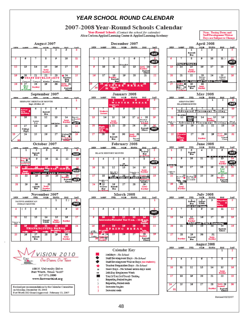#### *YEAR SCHOOL ROUND CALENDAR*

#### 2007-2008 Year-Round Schools Calendar

**Year-Round Schools** (Contact the school for calendar)<br>Alice Carlson Applied Learning Center & Applied Learning Academy

Note: Tenting Dates and<br>Staff Development Waiver Days are Subject to Change

<span id="page-47-0"></span>









100 N. University Drive **Bort Worth, Texas 76107** 817.871.2000 www.fortwortkisd.org

Revised per recommendations by the Calendar Committee on Monday, December 18, 2006 Fort Worth ISD Board Approved: February 13, 2007





















Revised 02/22/07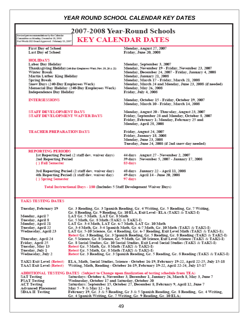#### *YEAR ROUND SCHOOL CALENDAR KEY DATES*

<span id="page-48-0"></span>Revised per recommendations by the Calenda Committee on Monday, December 18, 2006 Fort Worth ISD Board Approved: February 13, 2007

#### 2007-2008 Year-Round Schools **KEY CALENDAR DATES**

**First Day of School** Last Day of School

Martin Luther King Holiday

**Independence Day Holiday** 

**STAFF DEVELOPMENT DAYS** 

**TEACHER PREPARATION DAYS** 

**REPORTING PERIODS** 

2nd Reporting Period { } Fall Semester

STAFF DEVELOPMENT WAIVER DAYS

Snow Days (240-Day Employees Work)

#### **HOLIDAYS Labor Day Holiday**

Winter Break

**Spring Break** 

**INTERSESSIONS** 

Monday, August 27, 2007 Friday, June 20, 2008

Monday, September 3, 2007 Monday, November 19 - Friday, November 23, 2007 Monday, December 24, 2007 - Friday, January 4, 2008 Monday, January 21, 2008 Monday, March 17 - Friday, March 21, 2008 Monday, March 24 and Monday, June 23, 2008 (if needed) Monday, May 26, 2008 Friday, July 4, 2008

Monday, October 15 - Friday, October 19, 2007 Monday, March 10 - Friday, March 14, 2008

Monday, August 20 - Thursday, August 23, 2007 Friday, September 28 and Monday, October 8, 2007 Friday, February 1; Monday, February 25 and Monday, April 28, 2008

Friday, August 24, 2007 Friday, January 18, 2008 Monday, June 23, 2008 Tuesday, June 24, 2008 (if 2nd snow day needed)

48 days January 22 - April 11, 2008

49 days April 14 - June 20, 2008

44 days August 27 - November 2, 2007 1st Reporting Period (2 staff dev. waiver days) 39 days November 5, 2007 - January 17, 2008 83 days

97 days

3rd Reporting Period (2 staff dev. waiver day) 4th Reporting Period (1 staff dev. waiver day) { } Spring Semester

Thanksgiving Holiday(240-Day Engloyees Work Nov. 19, 20 & 21)

Memorial Day Holiday (240-Day Employees Work)

Total Instructional Days - 180 (Includes 5 Staff Development Waiver Days)

#### **TAKS TESTING DATES**

| Tuesday, February 19            | Gr. 3 Reading, Gr. 3 Spanish Reading, Gr. 4 Writing, Gr. 5 Reading, Gr. 7 Writing,           |
|---------------------------------|----------------------------------------------------------------------------------------------|
|                                 | Gr. 8 Reading, Gr. 9 Reading, Gr. 10 ELA, Exit Level - ELA (TAKS & TAKS-I)                   |
| Monday, April 7                 | LAT Gr. 5 Math. :LAT Gr. 8 Math                                                              |
| Tuesday, April 8                | Gr. 5 Math, Gr. 8 Math (TAKS & TAKS-I)                                                       |
| Monday, April 21                | LAT Gr. 3-4 Math, LAT Gr. 6-7 Math, LAT Gr. 10 Math                                          |
| Tuesday, April 22               | Gr, 3-4 Math, Gr. 3-4 Spanish Math, Gr. 6-7 Math, Gr. 10 Math (TAKS & TAKS-I)                |
| Wednesday, April 23             | LAT Gr. 5-10 Science, Gr. 4 Reading, Gr. 6-7 Reading, Exit Level Math (TAKS & TAKS-I);       |
|                                 | Retest Gr. 3 Reading, Gr. 3 Spanish Reading, Gr. 5 Reading, Gr. 8 Reading (TAKS & TAKS-I)    |
| Thursday, April 24              | Gr. 5 Science, Gr. 8 Science, Gr. 9 Math, Gr. 10 Science, Exit Level Science (TAKS & TAKS-I) |
| Friday, April 25                | Gr. 8 Social Studies, Gr. 10 Social Studies, Exit Level Social Studies (TAKS & TAKS-I)       |
| Tuesday, May 13                 | Retest Gr. 5 Math, Gr. 8 Math (TAKS & TAKS-I)                                                |
| Tuesday, July 1                 | Retest Gr. 5 Math, Gr. 8 Math (TAKS & TAKS-I)                                                |
| Wednesday, July 2               | Retest Gr. 3 Reading, Gr. 3 Spanish Reading, Gr. 5 Reading, Gr. 8 Reading (TAKS & TAKS-I)    |
| <b>TAKS Exit Level (Retest)</b> | ELA, Math, Social Studies, Science - October 16-19, February 19-22, April 22-25, July 15-18  |
| TAAS Exit Level (Retest)        | Writing, Math. Reading - October 16-19. February 19-22. April 22-24. July 15-17              |
|                                 |                                                                                              |
|                                 | ADDITIONAL TESTING DATES (Subject to Change upon finalization of testing schedule from TEA)  |
| <b>SAT Testing</b>              | Saturdays: October 6, November 3, December 1, January 26, March 8, May 3, June 7             |
| <b>PSAT Testing</b>             | Wednesday, October 17 and Saturday, October 20                                               |
| <b>ACT Testing</b>              | Saturdays: September 15, October 27, December 8, February 9, April 12, June 7                |
| <b>Advanced Placement</b>       | May 5 - 9 & May 12 - 16                                                                      |
| SDAA II Testing                 | February 19, Gr. 3 & 5 Reading, Gr 3 & 5 Spanish Reading, Gr. 8 Reading, Gr. 4 Writing,      |
|                                 | Gr. 4 Spanish Writing, Gr. 7 Writing, Gr. 9 Reading, Gr. 10 ELA;                             |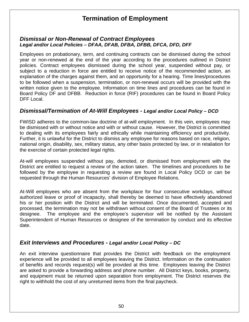## **Termination of Employment**

#### <span id="page-49-0"></span>*Dismissal or Non-Renewal of Contract Employees Legal and/or Local Policies – [DFAA,](http://www.tasb.org/policy/pol/private/220905/pol.cfm?DisplayPage=DFAA(LOCAL).html) [DFAB,](http://www.tasb.org/policy/pol/private/220905/pol.cfm?DisplayPage=DFAB(LEGAL).html) [DFBA,](http://www.tasb.org/policy/pol/private/220905/pol.cfm?DisplayPage=DFBA(LOCAL).html) [DFBB,](http://www.tasb.org/policy/pol/private/220905/pol.cfm?DisplayPage=DFBB(LOCAL).html) [DFCA,](http://www.tasb.org/policy/pol/private/220905/pol.cfm?DisplayPage=DFCA(LOCAL).html) [DFD](http://www.tasb.org/policy/pol/private/220905/pol.cfm?DisplayPage=DFD(LOCAL).html), [DFF](http://www.tasb.org/policy/pol/private/220905/pol.cfm?DisplayPage=DFF(LOCAL).html)*

Employees on probationary, term, and continuing contracts can be dismissed during the school year or non-renewed at the end of the year according to the procedures outlined in District policies. Contract employees dismissed during the school year, suspended without pay, or subject to a reduction in force are entitled to receive notice of the recommended action, an explanation of the charges against them, and an opportunity for a hearing. Time lines/procedures to be followed when a suspension, termination, or non-renewal occurs will be provided with the written notice given to the employee. Information on time lines and procedures can be found in Board Policy [DF](http://www.tasb.org/policy/pol/private/220905/pol.cfm?DisplayPage=DF(LEGAL).html) and [DFBB.](http://www.tasb.org/policy/pol/private/220905/pol.cfm?DisplayPage=DFBB(LOCAL).html) Reduction in force (RIF) procedures can be found in Board Policy [DFF](http://www.tasb.org/policy/pol/private/220905/pol.cfm?DisplayPage=DFF(LOCAL).html) Local.

#### *Dismissal/Termination of At-Will Employees - Legal and/or Local Policy – [DCD](http://www.tasb.org/policy/pol/private/220905/pol.cfm?DisplayPage=DCD(LOCAL).html)*

FWISD adheres to the common-law doctrine of at-will employment. In this vein, employees may be dismissed with or without notice and with or without cause. However, the District is committed to dealing with its employees fairly and ethically while maintaining efficiency and productivity. Further, it is unlawful for the District to dismiss any employee for reasons based on race, religion, national origin, disability, sex, military status, any other basis protected by law, or in retaliation for the exercise of certain protected legal rights.

At-will employees suspended without pay, demoted, or dismissed from employment with the District are entitled to request a review of the action taken. The timelines and procedures to be followed by the employee in requesting a review are found in Local Policy DCD or can be requested through the Human Resources' division of Employee Relations.

At-Will employees who are absent from the workplace for four consecutive workdays, without authorized leave or proof of incapacity, shall thereby be deemed to have effectively abandoned his or her position with the District and will be terminated. Once documented, accepted and processed, the termination may not be withdrawn without consent of the Board of Trustees or its designee. The employee and the employee's supervisor will be notified by the Assistant Superintendent of Human Resources or designee of the termination by conduct and its effective date.

#### *Exit Interviews and Procedures - Legal and/or Local Policy – [DC](http://www.tasb.org/policy/pol/private/220905/pol.cfm?DisplayPage=DC(LOCAL).html)*

An exit interview questionnaire that provides the District with feedback on the employment experience will be provided to all employees leaving the District. Information on the continuation of benefits and records request(s) will be provided at this time. Employees leaving the District are asked to provide a forwarding address and phone number. All District keys, books, property, and equipment must be returned upon separation from employment. The District reserves the right to withhold the cost of any unreturned items from the final paycheck.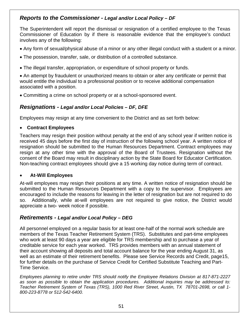#### <span id="page-50-0"></span>*Reports to the Commissioner - Legal and/or Local Policy – [DF](http://www.tasb.org/policy/pol/private/220905/pol.cfm?DisplayPage=DF(LEGAL).html)*

The Superintendent will report the dismissal or resignation of a certified employee to the Texas Commissioner of Education by if there is reasonable evidence that the employee's conduct involves any of the following:

- Any form of sexual/physical abuse of a minor or any other illegal conduct with a student or a minor.
- The possession, transfer, sale, or distribution of a controlled substance.
- The illegal transfer, appropriation, or expenditure of school property or funds.

• An attempt by fraudulent or unauthorized means to obtain or alter any certificate or permit that would entitle the individual to a professional position or to receive additional compensation associated with a position.

• Committing a crime on school property or at a school-sponsored event.

#### *Resignations - Legal and/or Local Policies – [DF,](http://www.tasb.org/policy/pol/private/220905/pol.cfm?DisplayPage=DF(LEGAL).html) [DFE](http://www.tasb.org/policy/pol/private/220905/pol.cfm?DisplayPage=DFE(LOCAL).html)*

Employees may resign at any time convenient to the District and as set forth below:

#### • **Contract Employees**

Teachers may resign their position without penalty at the end of any school year if written notice is received 45 days before the first day of instruction of the following school year. A written notice of resignation should be submitted to the Human Resources Department. Contract employees may resign at any other time with the approval of the Board of Trustees. Resignation without the consent of the Board may result in disciplinary action by the State Board for Educator Certification. Non-teaching contract employees should give a 15 working day notice during term of contract.

#### • **At-Will Employees**

At-will employees may resign their positions at any time. A written notice of resignation should be submitted to the Human Resources Department with a copy to the supervisor. Employees are encouraged to include the reasons for leaving in the letter of resignation but are not required to do so. Additionally, while at-will employees are not required to give notice, the District would appreciate a two- week notice if possible.

#### *Retirements - Legal and/or Local Policy – [DEG](http://www.tasb.org/policy/pol/private/220905/pol.cfm?DisplayPage=DEG(LOCAL).html)*

All personnel employed on a regular basis for at least one-half of the normal work schedule are members of the Texas Teacher Retirement System (TRS). Substitutes and part-time employees who work at least 90 days a year are eligible for TRS membership and to purchase a year of creditable service for each year worked. TRS provides members with an annual statement of their account showing all deposits and total account balance for the year ending August 31, as well as an estimate of their retirement benefits. Please see Service Records and Credit, page15, for further details on the purchase of Service Credit for Certified Substitute Teaching and Part-Time Service.

*Employees planning to retire under TRS should notify the Employee Relations Division at 817-871-2227 as soon as possible to obtain the application procedures. Additional inquiries may be addressed to: Teacher Retirement System of Texas (TRS), 1000 Red River Street, Austin, TX 78701-2698, or call 1- 800-223-8778 or 512-542-6400.*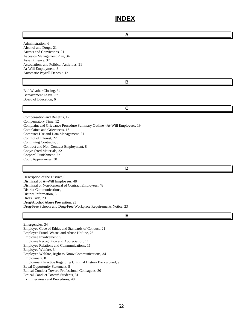## **INDEX**

| A                                                                                                                                                                                                                                                                                                                                                                                                                                                                                                   |  |  |
|-----------------------------------------------------------------------------------------------------------------------------------------------------------------------------------------------------------------------------------------------------------------------------------------------------------------------------------------------------------------------------------------------------------------------------------------------------------------------------------------------------|--|--|
| Administration, 6<br>Alcohol and Drugs, 21<br>Arrests and Convictions, 21<br>Asbestos Management Plan, 34<br>Assault Leave, 37<br>Associations and Political Activities, 21<br>At-Will Employment, 8<br>Automatic Payroll Deposit, 12                                                                                                                                                                                                                                                               |  |  |
| B                                                                                                                                                                                                                                                                                                                                                                                                                                                                                                   |  |  |
| Bad Weather Closing, 34<br>Bereavement Leave, 37<br>Board of Education, 6                                                                                                                                                                                                                                                                                                                                                                                                                           |  |  |
| C                                                                                                                                                                                                                                                                                                                                                                                                                                                                                                   |  |  |
| Compensation and Benefits, 12<br>Compensatory Time, 12<br>Complaint and Grievance Procedure Summary Outline -At-Will Employees, 19<br>Complaints and Grievances, 16<br>Computer Use and Data Management, 21<br>Conflict of Interest, 22<br>Continuing Contracts, 8<br>Contract and Non-Contract Employment, 8<br>Copyrighted Materials, 22<br>Corporal Punishment, 22<br>Court Appearances, 38                                                                                                      |  |  |
| D                                                                                                                                                                                                                                                                                                                                                                                                                                                                                                   |  |  |
| Description of the District, 6<br>Dismissal of At-Will Employees, 48<br>Dismissal or Non-Renewal of Contract Employees, 48<br>District Communications, 11<br>District Information, 6<br>Dress Code, 23<br>Drug/Alcohol Abuse Prevention, 23<br>Drug-Free Schools and Drug-Free Workplace Requirements Notice, 23                                                                                                                                                                                    |  |  |
| Е                                                                                                                                                                                                                                                                                                                                                                                                                                                                                                   |  |  |
| Emergencies, 34<br>Employee Code of Ethics and Standards of Conduct, 21<br>Employee Fraud, Waste, and Abuse Hotline, 25<br>Employee Involvement, 9<br>Employee Recognition and Appreciation, 11<br>Employee Relations and Communications, 11<br>Employee Welfare, 34<br>Employee Welfare, Right to Know Communications, 34<br>Employment, 8<br>Employment Practice Regarding Criminal History Background, 9<br>Equal Opportunity Statement, 8<br>Ethical Conduct Toward Professional Colleagues, 30 |  |  |

Ethical Conduct Toward Students, 31

Exit Interviews and Procedures, 48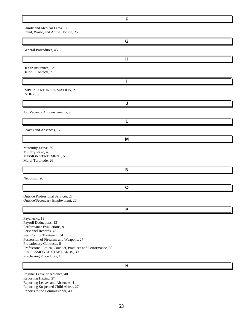|                                                                                                                                                                                                                                                                                                                               | F |
|-------------------------------------------------------------------------------------------------------------------------------------------------------------------------------------------------------------------------------------------------------------------------------------------------------------------------------|---|
| Family and Medical Leave, 38<br>Fraud, Waste, and Abuse Hotline, 25                                                                                                                                                                                                                                                           |   |
|                                                                                                                                                                                                                                                                                                                               | G |
| General Procedures, 43                                                                                                                                                                                                                                                                                                        |   |
|                                                                                                                                                                                                                                                                                                                               | н |
| Health Insurance, 12<br>Helpful Contacts, 7                                                                                                                                                                                                                                                                                   |   |
|                                                                                                                                                                                                                                                                                                                               |   |
| IMPORTANT INFORMATION, 2<br>INDEX, 50                                                                                                                                                                                                                                                                                         |   |
|                                                                                                                                                                                                                                                                                                                               | J |
| Job Vacancy Announcements, 9                                                                                                                                                                                                                                                                                                  |   |
|                                                                                                                                                                                                                                                                                                                               |   |
| Leaves and Absences, 37                                                                                                                                                                                                                                                                                                       |   |
|                                                                                                                                                                                                                                                                                                                               | M |
| Maternity Leave, 39<br>Military leave, 40<br>MISSION STATEMENT, 5<br>Moral Turpitude, 26                                                                                                                                                                                                                                      |   |
|                                                                                                                                                                                                                                                                                                                               | N |
| Nepotism, 26                                                                                                                                                                                                                                                                                                                  |   |
|                                                                                                                                                                                                                                                                                                                               | O |
| Outside Professional Services, 27<br>Outside/Secondary Employment, 26                                                                                                                                                                                                                                                         |   |
|                                                                                                                                                                                                                                                                                                                               | P |
| Paychecks, 13<br>Payroll Deductions, 13<br>Performance Evaluations, 9<br>Personnel Records, 43<br>Pest Control Treatment, 34<br>Possession of Firearms and Weapons, 27<br>Probationary Contracts, 8<br>Professional Ethical Conduct, Practices and Performance, 30<br>PROFESSIONAL STANDARDS, 30<br>Purchasing Procedures, 43 |   |
|                                                                                                                                                                                                                                                                                                                               | R |
| Regular Leave of Absence, 40<br>Reporting Hazing, 27<br>Reporting Leaves and Absences, 41<br>Reporting Suspected Child Abuse, 27<br>Reports to the Commissioner, 49                                                                                                                                                           |   |